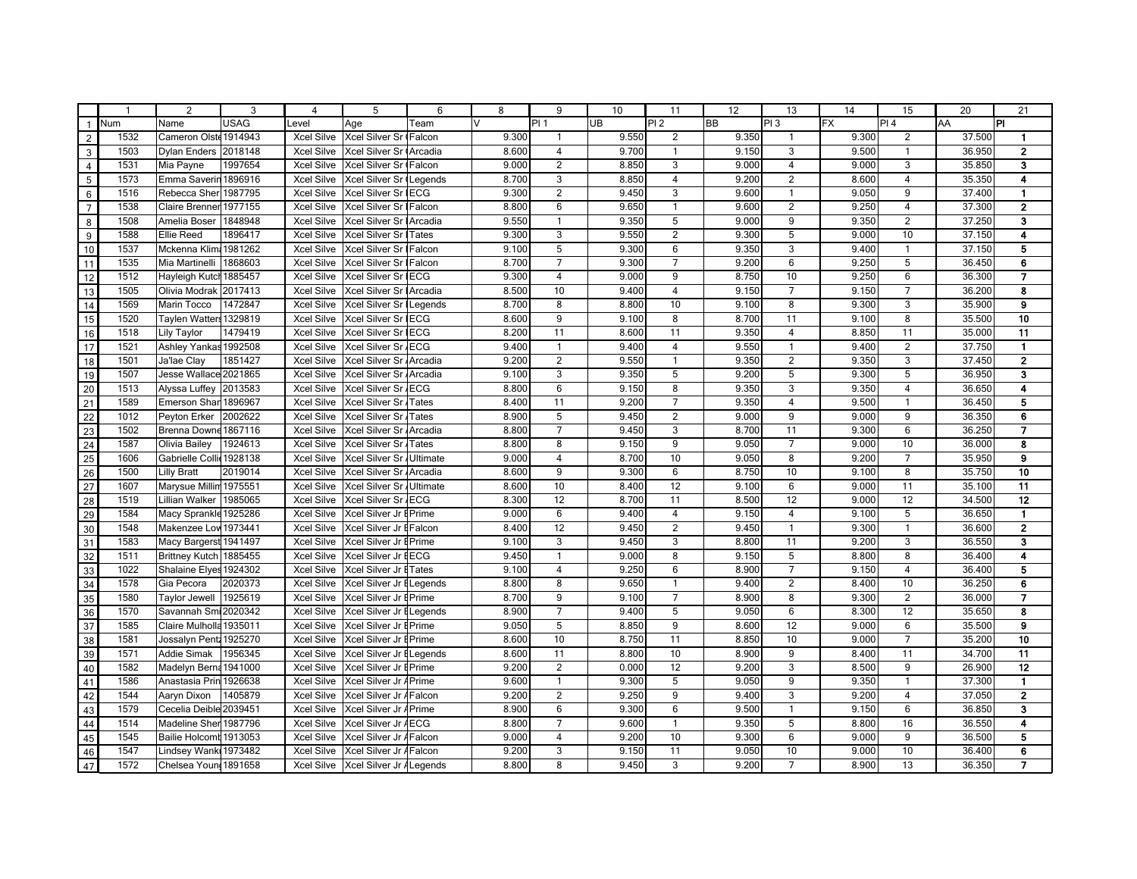|                                                                                                                                                                                                                               | -1   | $\mathfrak{p}$           | 3           | $\overline{4}$    | 5                             | 6    | 8      | 9               | 10        | 11               | 12    | 13              | 14        | 15                      | 20     | 21                      |
|-------------------------------------------------------------------------------------------------------------------------------------------------------------------------------------------------------------------------------|------|--------------------------|-------------|-------------------|-------------------------------|------|--------|-----------------|-----------|------------------|-------|-----------------|-----------|-------------------------|--------|-------------------------|
| $\overline{1}$                                                                                                                                                                                                                | Num  | Name                     | <b>USAG</b> | Level             | Age                           | Team | $\vee$ | PI <sub>1</sub> | <b>UB</b> | PI <sub>2</sub>  | BB    | IPI 3           | <b>FX</b> | PI 4                    | AA     | ١PI                     |
| $\overline{2}$                                                                                                                                                                                                                | 1532 | Cameron Olste 1914943    |             | <b>Xcel Silve</b> | Xcel Silver Sr (Falcon        |      | 9.300  | $\mathbf{1}$    | 9.550     | 2                | 9.350 | $\overline{1}$  | 9.300     | $\overline{2}$          | 37.500 | $\mathbf{1}$            |
| $\overline{\mathbf{3}}$                                                                                                                                                                                                       | 1503 | <b>Dylan Enders</b>      | 2018148     | <b>Xcel Silve</b> | Xcel Silver Sr Arcadia        |      | 8.600  | $\overline{4}$  | 9.700     | $\mathbf{1}$     | 9.150 | 3               | 9.500     | $\mathbf{1}$            | 36.950 | $\mathbf{2}$            |
| $\overline{4}$                                                                                                                                                                                                                | 1531 | Mia Payne                | 1997654     | <b>Xcel Silve</b> | Xcel Silver Sr (Falcon        |      | 9.000  | $\overline{2}$  | 8.850     | 3                | 9.000 | $\overline{4}$  | 9.000     | 3                       | 35.850 | 3                       |
| $5\overline{)}$                                                                                                                                                                                                               | 1573 | Emma Saverin 1896916     |             | <b>Xcel Silve</b> | Xcel Silver Sr (Legends       |      | 8.700  | 3               | 8.850     | 4                | 9.200 | $\overline{2}$  | 8.600     | $\overline{\mathbf{4}}$ | 35.350 | 4                       |
| $\begin{array}{c} 6 \\ 7 \end{array}$                                                                                                                                                                                         | 1516 | Rebecca Sher 1987795     |             | <b>Xcel Silve</b> | Xcel Silver Sr IECG           |      | 9.300  | 2               | 9.450     | 3                | 9.600 | $\overline{1}$  | 9.050     | 9                       | 37.400 | $\mathbf{1}$            |
|                                                                                                                                                                                                                               | 1538 | Claire Brenner 1977155   |             | <b>Xcel Silve</b> | Xcel Silver Sr   Falcon       |      | 8.800  | 6               | 9.650     | $\mathbf{1}$     | 9.600 | 2               | 9.250     | $\overline{4}$          | 37.300 | $\overline{2}$          |
| 8                                                                                                                                                                                                                             | 1508 | Amelia Boser             | 1848948     | <b>Xcel Silve</b> | Xcel Silver Sr   Arcadia      |      | 9.550  | $\mathbf{1}$    | 9.350     | 5                | 9.000 | 9               | 9.350     | $\overline{2}$          | 37.250 | 3                       |
| $\begin{array}{c}\n9 \\ 10 \\ 11\n\end{array}$                                                                                                                                                                                | 1588 | <b>Ellie Reed</b>        | 1896417     | <b>Xcel Silve</b> | <b>Xcel Silver Sr I Tates</b> |      | 9.300  | 3               | 9.550     | $\overline{2}$   | 9.300 | 5               | 9.000     | 10                      | 37.150 | 4                       |
|                                                                                                                                                                                                                               | 1537 | Mckenna Klim             | 1981262     | <b>Xcel Silve</b> | Xcel Silver Sr   Falcon       |      | 9.100  | 5               | 9.300     | 6                | 9.350 | 3               | 9.400     | $\mathbf{1}$            | 37.150 | 5                       |
|                                                                                                                                                                                                                               | 1535 | Mia Martinelli           | 1868603     | <b>Xcel Silve</b> | Xcel Silver Sr   Falcon       |      | 8.700  | $\overline{7}$  | 9.300     | $\overline{7}$   | 9.200 | 6               | 9.250     | 5                       | 36.450 | 6                       |
| 12                                                                                                                                                                                                                            | 1512 | Hayleigh Kutch 1885457   |             | <b>Xcel Silve</b> | Xcel Silver Sr IECG           |      | 9.300  | $\overline{4}$  | 9.000     | 9                | 8.750 | 10              | 9.250     | 6                       | 36.300 | 7                       |
| 13                                                                                                                                                                                                                            | 1505 | Olivia Modrak 2017413    |             | <b>Xcel Silve</b> | Xcel Silver Sr   Arcadia      |      | 8.500  | 10              | 9.400     | 4                | 9.150 | $\overline{7}$  | 9.150     | $\overline{7}$          | 36.200 | 8                       |
| $\frac{14}{15}$                                                                                                                                                                                                               | 1569 | Marin Tocco              | 1472847     | <b>Xcel Silve</b> | Xcel Silver Sr   Legends      |      | 8.700  | 8               | 8.800     | 10               | 9.100 | 8               | 9.300     | 3                       | 35.900 | 9                       |
|                                                                                                                                                                                                                               | 1520 | Taylen Watter 1329819    |             | <b>Xcel Silve</b> | Xcel Silver Sr IECG           |      | 8.600  | 9               | 9.100     | 8                | 8.700 | 11              | 9.100     | 8                       | 35.500 | 10                      |
| 16                                                                                                                                                                                                                            | 1518 | <b>Lily Taylor</b>       | 1479419     | <b>Xcel Silve</b> | Xcel Silver Sr IECG           |      | 8.200  | 11              | 8.600     | 11               | 9.350 | $\overline{4}$  | 8.850     | 11                      | 35.000 | 11                      |
| 17                                                                                                                                                                                                                            | 1521 | <b>Ashley Yankas</b>     | 1992508     | <b>Xcel Silve</b> | Xcel Silver Sr / ECG          |      | 9.400  | $\mathbf{1}$    | 9.400     | 4                | 9.550 | $\overline{1}$  | 9.400     | $\overline{2}$          | 37.750 | $\mathbf{1}$            |
|                                                                                                                                                                                                                               | 1501 | Ja'lae Clay              | 1851427     | <b>Xcel Silve</b> | Xcel Silver Sr Arcadia        |      | 9.200  | $\overline{2}$  | 9.550     | $\mathbf{1}$     | 9.350 | $\overline{2}$  | 9.350     | 3                       | 37.450 | $\overline{\mathbf{2}}$ |
|                                                                                                                                                                                                                               | 1507 | Jesse Wallace 2021865    |             | <b>Xcel Silve</b> | Xcel Silver Sr Arcadia        |      | 9.100  | 3               | 9.350     | 5                | 9.200 | 5               | 9.300     | $\overline{5}$          | 36.950 | 3                       |
|                                                                                                                                                                                                                               | 1513 | Alyssa Luffey            | 2013583     | <b>Xcel Silve</b> | Xcel Silver Sr . ECG          |      | 8.800  | 6               | 9.150     | 8                | 9.350 | 3               | 9.350     | $\overline{4}$          | 36.650 | 4                       |
|                                                                                                                                                                                                                               | 1589 | Emerson Shar 1896967     |             | <b>Xcel Silve</b> | Xcel Silver Sr Tates          |      | 8.400  | 11              | 9.200     | $\overline{7}$   | 9.350 | $\overline{4}$  | 9.500     | $\mathbf{1}$            | 36.450 | 5                       |
|                                                                                                                                                                                                                               | 1012 | Peyton Erker             | 2002622     | <b>Xcel Silve</b> | Xcel Silver Sr / Tates        |      | 8.900  | 5               | 9.450     | $\overline{2}$   | 9.000 | 9               | 9.000     | 9                       | 36.350 | 6                       |
|                                                                                                                                                                                                                               | 1502 | Brenna Downe 1867116     |             | <b>Xcel Silve</b> | Xcel Silver Sr Arcadia        |      | 8.800  | $\overline{7}$  | 9.450     | 3                | 8.700 | 11              | 9.300     | 6                       | 36.250 | 7                       |
|                                                                                                                                                                                                                               | 1587 | Olivia Bailey            | 1924613     | <b>Xcel Silve</b> | Xcel Silver Sr Tates          |      | 8.800  | 8               | 9.150     | 9                | 9.050 | $\overline{7}$  | 9.000     | 10                      | 36.000 | 8                       |
|                                                                                                                                                                                                                               | 1606 | Gabrielle Collic 1928138 |             | <b>Xcel Silve</b> | Xcel Silver Sr / Ultimate     |      | 9.000  | $\overline{4}$  | 8.700     | 10               | 9.050 | 8               | 9.200     | $\overline{7}$          | 35.950 | 9                       |
|                                                                                                                                                                                                                               | 1500 | <b>Lilly Bratt</b>       | 2019014     | <b>Xcel Silve</b> | Xcel Silver Sr Arcadia        |      | 8.600  | 9               | 9.300     | 6                | 8.750 | 10              | 9.100     | 8                       | 35.750 | 10                      |
|                                                                                                                                                                                                                               | 1607 | Marysue Millin 1975551   |             | <b>Xcel Silve</b> | Xcel Silver Sr Ultimate       |      | 8.600  | 10              | 8.400     | 12               | 9.100 | 6               | 9.000     | 11                      | 35.100 | 11                      |
| 18<br>19<br>20<br>21<br>22<br>23<br>24<br>25<br>27<br>28<br>27<br>28                                                                                                                                                          | 1519 | <b>Lillian Walker</b>    | 1985065     | <b>Xcel Silve</b> | Xcel Silver Sr / ECG          |      | 8.300  | 12              | 8.700     | 11               | 8.500 | 12              | 9.000     | 12                      | 34.500 | 12                      |
|                                                                                                                                                                                                                               | 1584 | Macy Sprankle 1925286    |             | <b>Xcel Silve</b> | Xcel Silver Jr EPrime         |      | 9.000  | 6               | 9.400     | $\overline{4}$   | 9.150 | $\overline{4}$  | 9.100     | 5                       | 36.650 | $\mathbf{1}$            |
|                                                                                                                                                                                                                               | 1548 | Makenzee Lov 1973441     |             | <b>Xcel Silve</b> | Xcel Silver Jr EFalcon        |      | 8.400  | 12              | 9.450     | $\boldsymbol{2}$ | 9.450 | $\overline{1}$  | 9.300     | $\mathbf{1}$            | 36.600 | $\overline{2}$          |
|                                                                                                                                                                                                                               | 1583 | Macy Bargerst 1941497    |             | <b>Xcel Silve</b> | Xcel Silver Jr EPrime         |      | 9.100  | 3               | 9.450     | 3                | 8.800 | 11              | 9.200     | 3                       | 36.550 | 3                       |
|                                                                                                                                                                                                                               | 1511 | Brittney Kutch 1885455   |             | <b>Xcel Silve</b> | Xcel Silver Jr EECG           |      | 9.450  | $\mathbf{1}$    | 9.000     | 8                | 9.150 | $\overline{5}$  | 8.800     | 8                       | 36.400 | 4                       |
|                                                                                                                                                                                                                               | 1022 | Shalaine Elyes 1924302   |             | <b>Xcel Silve</b> | Xcel Silver Jr ETates         |      | 9.100  | $\overline{4}$  | 9.250     | 6                | 8.900 | $\overline{7}$  | 9.150     | $\overline{4}$          | 36.400 | 5                       |
|                                                                                                                                                                                                                               | 1578 | Gia Pecora               | 2020373     | <b>Xcel Silve</b> | Xcel Silver Jr ELegends       |      | 8.800  | 8               | 9.650     | $\mathbf{1}$     | 9.400 | $\overline{2}$  | 8.400     | 10                      | 36.250 | 6                       |
|                                                                                                                                                                                                                               | 1580 | <b>Taylor Jewell</b>     | 1925619     | <b>Xcel Silve</b> | Xcel Silver Jr EPrime         |      | 8.700  | 9               | 9.100     | $\overline{7}$   | 8.900 | 8               | 9.300     | $\overline{2}$          | 36.000 | 7                       |
|                                                                                                                                                                                                                               | 1570 | Savannah Smi 2020342     |             | <b>Xcel Silve</b> | Xcel Silver Jr ELegends       |      | 8.900  | $\overline{7}$  | 9.400     | 5                | 9.050 | $6\overline{6}$ | 8.300     | 12                      | 35.650 | 8                       |
|                                                                                                                                                                                                                               | 1585 | Claire Mulholla 1935011  |             | <b>Xcel Silve</b> | Xcel Silver Jr EPrime         |      | 9.050  | 5               | 8.850     | 9                | 8.600 | 12              | 9.000     | 6                       | 35.500 | 9                       |
|                                                                                                                                                                                                                               | 1581 | Jossalyn Pent: 1925270   |             | <b>Xcel Silve</b> | Xcel Silver Jr EPrime         |      | 8.600  | 10              | 8.750     | 11               | 8.850 | 10              | 9.000     | $\overline{7}$          | 35.200 | 10                      |
|                                                                                                                                                                                                                               | 1571 | <b>Addie Simak</b>       | 1956345     | <b>Xcel Silve</b> | Xcel Silver Jr ELegends       |      | 8.600  | 11              | 8.800     | 10               | 8.900 | 9               | 8.400     | 11                      | 34.700 | 11                      |
|                                                                                                                                                                                                                               | 1582 | Madelyn Berna 1941000    |             | <b>Xcel Silve</b> | Xcel Silver Jr EPrime         |      | 9.200  | $\overline{2}$  | 0.000     | $\overline{12}$  | 9.200 | 3               | 8.500     | 9                       | 26.900 | $\overline{12}$         |
|                                                                                                                                                                                                                               | 1586 | Anastasia Prin 1926638   |             | <b>Xcel Silve</b> | Xcel Silver Jr APrime         |      | 9.600  | $\mathbf{1}$    | 9.300     | 5                | 9.050 | 9               | 9.350     | $\mathbf{1}$            | 37.300 | $\mathbf{1}$            |
| 8 2 3 3 3 4 3 4 4 4 4 4 4 4 4 4 4 4 4 5 4 7 4 4 5 4 7 4 4 5 4 7 4 5 4 7 4 5 4 7 4 5 6 7 8 4 7 4 5 6 7 8 4 7 8 4 7 8 4 7 8 4 7 8 4 7 8 4 7 8 4 7 8 4 7 8 4 7 8 4 7 8 4 7 8 4 7 8 4 7 8 4 7 8 4 7 8 4 7 8 4 7 8 4 7 8 4 7 8 4 7 | 1544 | Aaryn Dixon              | 1405879     | <b>Xcel Silve</b> | Xcel Silver Jr AFalcon        |      | 9.200  | $\overline{2}$  | 9.250     | 9                | 9.400 | 3               | 9.200     | $\overline{4}$          | 37.050 | $\overline{2}$          |
|                                                                                                                                                                                                                               | 1579 | Cecelia Deible 2039451   |             | <b>Xcel Silve</b> | Xcel Silver Jr APrime         |      | 8.900  | 6               | 9.300     | 6                | 9.500 | $\overline{1}$  | 9.150     | 6                       | 36.850 | 3                       |
|                                                                                                                                                                                                                               | 1514 | Madeline Sher 1987796    |             | <b>Xcel Silve</b> | Xcel Silver Jr AECG           |      | 8.800  | $\overline{7}$  | 9.600     | $\mathbf{1}$     | 9.350 | $5\overline{)}$ | 8.800     | 16                      | 36.550 | 4                       |
|                                                                                                                                                                                                                               | 1545 | Bailie Holcomt 1913053   |             | <b>Xcel Silve</b> | Xcel Silver Jr AFalcon        |      | 9.000  | $\overline{4}$  | 9.200     | 10               | 9.300 | 6               | 9.000     | $\overline{9}$          | 36.500 | $\overline{5}$          |
|                                                                                                                                                                                                                               | 1547 | Lindsey Wanki 1973482    |             | <b>Xcel Silve</b> | Xcel Silver Jr AFalcon        |      | 9.200  | 3               | 9.150     | 11               | 9.050 | 10              | 9.000     | 10                      | 36.400 | 6                       |
|                                                                                                                                                                                                                               | 1572 | Chelsea Yound 1891658    |             | <b>Xcel Silve</b> | Xcel Silver Jr ALegends       |      | 8.800  | 8               | 9.450     | 3                | 9.200 | $\overline{7}$  | 8.900     | 13                      | 36.350 | $\overline{ }$          |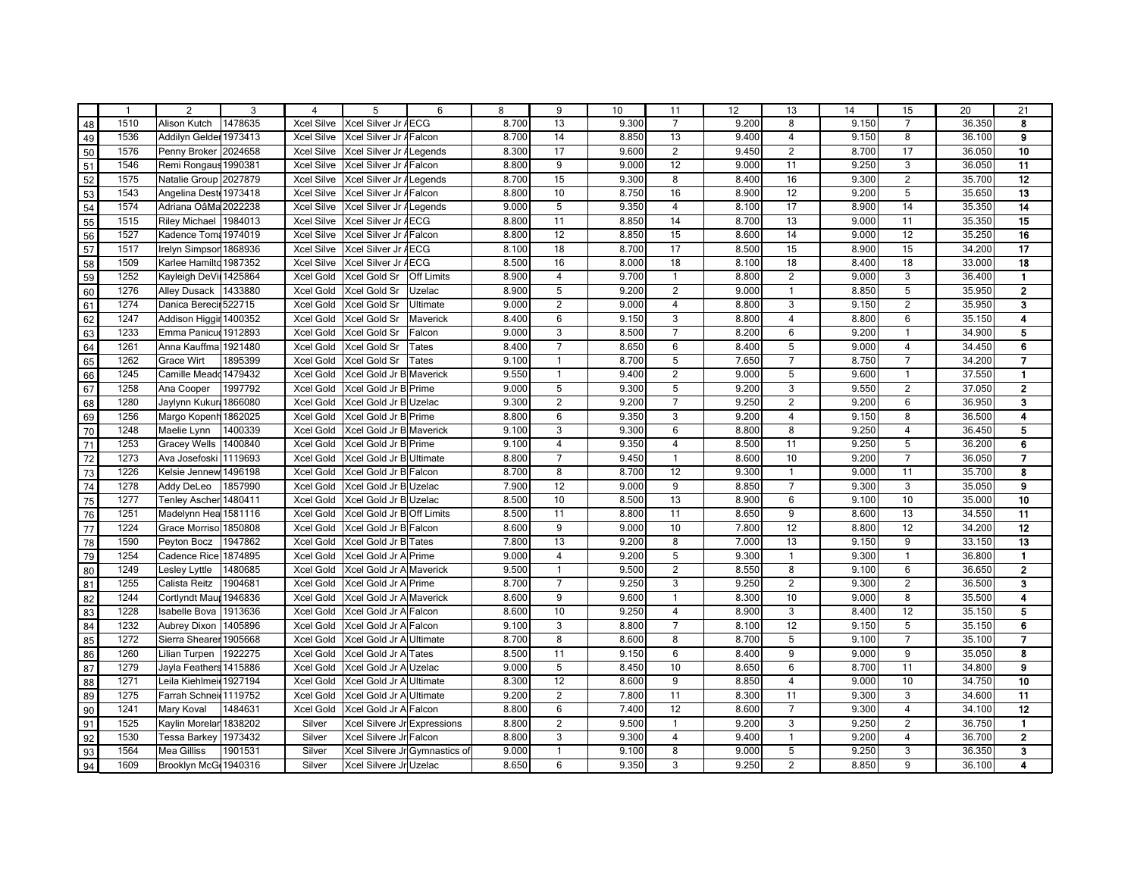| $\mathbf{1}$ | $\overline{2}$         | 3       | 4                 | 5                             | 6                 | 8     | 9              | 10    | 11                      | 12    | 13              | 14    | 15                      | 20     | 21                      |
|--------------|------------------------|---------|-------------------|-------------------------------|-------------------|-------|----------------|-------|-------------------------|-------|-----------------|-------|-------------------------|--------|-------------------------|
| 1510         | Alison Kutch           | 1478635 | <b>Xcel Silve</b> | Xcel Silver Jr AECG           |                   | 8.700 | 13             | 9.300 | $\overline{7}$          | 9.200 | 8               | 9.150 | $\overline{7}$          | 36.350 | 8                       |
| 1536         | Addilyn Gelder 1973413 |         | <b>Xcel Silve</b> | Xcel Silver Jr AFalcon        |                   | 8.700 | 14             | 8.850 | 13                      | 9.400 | $\overline{4}$  | 9.150 | 8                       | 36.100 | 9                       |
| 1576         | Penny Broker 2024658   |         | <b>Xcel Silve</b> | Xcel Silver Jr / Legends      |                   | 8.300 | 17             | 9.600 | $\overline{2}$          | 9.450 | 2               | 8.700 | 17                      | 36.050 | 10                      |
| 1546         | Remi Rongaus 1990381   |         | <b>Xcel Silve</b> | Xcel Silver Jr A Falcon       |                   | 8.800 | 9              | 9.000 | 12                      | 9.000 | 11              | 9.250 | 3                       | 36.050 | 11                      |
| 1575         | Natalie Group 2027879  |         | <b>Xcel Silve</b> | Xcel Silver Jr ALegends       |                   | 8.700 | 15             | 9.300 | 8                       | 8.400 | 16              | 9.300 | $\overline{c}$          | 35.700 | $\overline{12}$         |
| 1543         | Angelina Deste 1973418 |         | <b>Xcel Silve</b> | Xcel Silver Jr AFalcon        |                   | 8.800 | 10             | 8.750 | 16                      | 8.900 | $\overline{12}$ | 9.200 | 5                       | 35.650 | $\overline{13}$         |
| 1574         | Adriana OâMa 2022238   |         | <b>Xcel Silve</b> | Xcel Silver Jr / Legends      |                   | 9.000 | 5              | 9.350 | 4                       | 8.100 | 17              | 8.900 | 14                      | 35.350 | 14                      |
| 1515         | <b>Riley Michael</b>   | 1984013 | <b>Xcel Silve</b> | Xcel Silver Jr AECG           |                   | 8.800 | 11             | 8.850 | 14                      | 8.700 | 13              | 9.000 | 11                      | 35.350 | 15                      |
| 1527         | Kadence Tom: 1974019   |         | <b>Xcel Silve</b> | Xcel Silver Jr AFalcon        |                   | 8.800 | 12             | 8.850 | 15                      | 8.600 | 14              | 9.000 | 12                      | 35.250 | 16                      |
| 1517         | Irelyn Simpsor         | 1868936 | <b>Xcel Silve</b> | Xcel Silver Jr AECG           |                   | 8.100 | 18             | 8.700 | 17                      | 8.500 | 15              | 8.900 | 15                      | 34.200 | 17                      |
| 1509         | Karlee Hamilto 1987352 |         | <b>Xcel Silve</b> | Xcel Silver Jr AECG           |                   | 8.500 | 16             | 8.000 | 18                      | 8.100 | 18              | 8.400 | 18                      | 33.000 | 18                      |
| 1252         | Kayleigh DeVil         | 1425864 | Xcel Gold         | Xcel Gold Sr                  | <b>Off Limits</b> | 8.900 | $\overline{4}$ | 9.700 | $\mathbf{1}$            | 8.800 | $\overline{2}$  | 9.000 | 3                       | 36.400 | $\blacksquare$          |
| 1276         | <b>Alley Dusack</b>    | 1433880 | Xcel Gold         | Xcel Gold Sr                  | Uzelac            | 8.900 | 5              | 9.200 | $\boldsymbol{2}$        | 9.000 | $\overline{1}$  | 8.850 | 5                       | 35.950 | $\mathbf 2$             |
| 1274         | Danica Berecir 522715  |         | Xcel Gold         | Xcel Gold Sr                  | Ultimate          | 9.000 | $\overline{2}$ | 9.000 | 4                       | 8.800 | $\sqrt{3}$      | 9.150 | $\overline{c}$          | 35.950 | 3                       |
| 1247         | Addison Higgir         | 1400352 | Xcel Gold         | Xcel Gold Sr                  | Maverick          | 8.400 | 6              | 9.150 | 3                       | 8.800 | $\overline{4}$  | 8.800 | 6                       | 35.150 | 4                       |
| 1233         | Emma Panicud 1912893   |         | Xcel Gold         | Xcel Gold Sr                  | Falcon            | 9.000 | 3              | 8.500 | $\overline{7}$          | 8.200 | 6               | 9.200 | $\mathbf{1}$            | 34.900 | 5                       |
| 1261         | Anna Kauffma           | 1921480 | Xcel Gold         | Xcel Gold Sr                  | Tates             | 8.400 | $\overline{7}$ | 8.650 | 6                       | 8.400 | 5               | 9.000 | $\overline{4}$          | 34.450 | 6                       |
| 1262         | Grace Wirt             | 1895399 | Xcel Gold         | Xcel Gold Sr                  | Tates             | 9.100 | $\mathbf{1}$   | 8.700 | 5                       | 7.650 | $\overline{7}$  | 8.750 | $\overline{7}$          | 34.200 | $\overline{\mathbf{z}}$ |
| 1245         | Camille Meadd 1479432  |         | Xcel Gold         | Xcel Gold Jr B Maverick       |                   | 9.550 | $\mathbf{1}$   | 9.400 | $\overline{2}$          | 9.000 | $5\overline{)}$ | 9.600 | $\mathbf{1}$            | 37.550 | $\mathbf{1}$            |
| 1258         | Ana Cooper             | 1997792 | Xcel Gold         | Xcel Gold Jr B Prime          |                   | 9.000 | 5              | 9.300 | 5                       | 9.200 | $\overline{3}$  | 9.550 | $\overline{2}$          | 37.050 | $\overline{\mathbf{2}}$ |
| 1280         | Jaylynn Kukur          | 1866080 | Xcel Gold         | Xcel Gold Jr B Uzelac         |                   | 9.300 | $\overline{2}$ | 9.200 | 7                       | 9.250 | $\overline{2}$  | 9.200 | 6                       | 36.950 | 3                       |
| 1256         | Margo Kopenh           | 1862025 | Xcel Gold         | Xcel Gold Jr B Prime          |                   | 8.800 | 6              | 9.350 | 3                       | 9.200 | $\overline{4}$  | 9.150 | 8                       | 36.500 | 4                       |
| 1248         | Maelie Lynn            | 1400339 | Xcel Gold         | Xcel Gold Jr B Maverick       |                   | 9.100 | 3              | 9.300 | 6                       | 8.800 | 8               | 9.250 | $\overline{4}$          | 36.450 | 5                       |
| 1253         | <b>Gracey Wells</b>    | 1400840 | Xcel Gold         | Xcel Gold Jr B Prime          |                   | 9.100 | $\overline{4}$ | 9.350 | 4                       | 8.500 | 11              | 9.250 | 5                       | 36.200 | 6                       |
| 1273         | Ava Josefoski 1119693  |         | Xcel Gold         | Xcel Gold Jr BUltimate        |                   | 8.800 | $\overline{7}$ | 9.450 | $\mathbf{1}$            | 8.600 | 10              | 9.200 | $\overline{7}$          | 36.050 | $\overline{7}$          |
| 1226         | Kelsie Jennew          | 1496198 | Xcel Gold         | Xcel Gold Jr B Falcon         |                   | 8.700 | 8              | 8.700 | 12                      | 9.300 | $\overline{1}$  | 9.000 | 11                      | 35.700 | 8                       |
| 1278         | Addy DeLeo             | 1857990 | Xcel Gold         | Xcel Gold Jr BUzelac          |                   | 7.900 | 12             | 9.000 | 9                       | 8.850 | $\overline{7}$  | 9.300 | 3                       | 35.050 | 9                       |
| 1277         | <b>Tenley Ascher</b>   | 1480411 | Xcel Gold         | Xcel Gold Jr B Uzelac         |                   | 8.500 | 10             | 8.500 | 13                      | 8.900 | $6\phantom{1}6$ | 9.100 | 10                      | 35.000 | 10                      |
| 1251         | Madelynn Hea 1581116   |         | Xcel Gold         | Xcel Gold Jr BOff Limits      |                   | 8.500 | 11             | 8.800 | 11                      | 8.650 | 9               | 8.600 | 13                      | 34.550 | $\overline{11}$         |
| 1224         | Grace Morriso 1850808  |         | Xcel Gold         | Xcel Gold Jr B Falcon         |                   | 8.600 | 9              | 9.000 | 10                      | 7.800 | 12              | 8.800 | 12                      | 34.200 | 12                      |
| 1590         | Peyton Bocz            | 1947862 | Xcel Gold         | Xcel Gold Jr B Tates          |                   | 7.800 | 13             | 9.200 | 8                       | 7.000 | 13              | 9.150 | 9                       | 33.150 | 13                      |
| 1254         | Cadence Rice 1874895   |         | Xcel Gold         | Xcel Gold Jr A Prime          |                   | 9.000 | $\overline{4}$ | 9.200 | 5                       | 9.300 | $\overline{1}$  | 9.300 | $\mathbf{1}$            | 36.800 | $\blacksquare$          |
| 1249         | Lesley Lyttle          | 1480685 | Xcel Gold         | Xcel Gold Jr A Maverick       |                   | 9.500 | $\mathbf{1}$   | 9.500 | $\overline{2}$          | 8.550 | $\overline{8}$  | 9.100 | 6                       | 36.650 | $\overline{2}$          |
| 1255         | Calista Reitz          | 1904681 | Xcel Gold         | Xcel Gold Jr A Prime          |                   | 8.700 | $\overline{7}$ | 9.250 | 3                       | 9.250 | $\overline{2}$  | 9.300 | $\overline{2}$          | 36.500 | 3                       |
| 1244         | Cortlyndt Maup         | 1946836 | Xcel Gold         | Xcel Gold Jr A Maverick       |                   | 8.600 | 9              | 9.600 | $\mathbf{1}$            | 8.300 | 10              | 9.000 | 8                       | 35.500 | 4                       |
| 1228         | Isabelle Bova          | 1913636 | Xcel Gold         | Xcel Gold Jr A Falcon         |                   | 8.600 | 10             | 9.250 | $\overline{\mathbf{4}}$ | 8.900 | 3               | 8.400 | 12                      | 35.150 | 5                       |
| 1232         | <b>Aubrey Dixon</b>    | 1405896 | Xcel Gold         | Xcel Gold Jr A Falcon         |                   | 9.100 | 3              | 8.800 | $\overline{7}$          | 8.100 | 12              | 9.150 | 5                       | 35.150 | 6                       |
| 1272         | Sierra Shearer 1905668 |         | Xcel Gold         | Xcel Gold Jr A Ultimate       |                   | 8.700 | 8              | 8.600 | 8                       | 8.700 | $\overline{5}$  | 9.100 | $\overline{7}$          | 35.100 | $\overline{7}$          |
| 1260         | Lilian Turpen          | 1922275 | Xcel Gold         | Xcel Gold Jr A Tates          |                   | 8.500 | 11             | 9.150 | 6                       | 8.400 | 9               | 9.000 | 9                       | 35.050 | 8                       |
| 1279         | Jayla Feathers 1415886 |         | Xcel Gold         | Xcel Gold Jr A Uzelac         |                   | 9.000 | 5              | 8.450 | 10                      | 8.650 | 6               | 8.700 | 11                      | 34.800 | 9                       |
| 1271         | Leila Kiehlmei 1927194 |         | Xcel Gold         | Xcel Gold Jr A Ultimate       |                   | 8.300 | 12             | 8.600 | 9                       | 8.850 | $\overline{4}$  | 9.000 | 10                      | 34.750 | 10                      |
| 1275         | Farrah Schnei 1119752  |         | Xcel Gold         | Xcel Gold Jr A Ultimate       |                   | 9.200 | 2              | 7.800 | 11                      | 8.300 | 11              | 9.300 | 3                       | 34.600 | 11                      |
| 1241         | Mary Koval             | 1484631 | Xcel Gold         | Xcel Gold Jr A Falcon         |                   | 8.800 | 6              | 7.400 | 12                      | 8.600 | $\overline{7}$  | 9.300 | $\overline{\mathbf{4}}$ | 34.100 | 12                      |
| 1525         | Kaylin Morelar         | 1838202 | Silver            | Xcel Silvere Jr Expressions   |                   | 8.800 | $\overline{2}$ | 9.500 | $\mathbf{1}$            | 9.200 | 3               | 9.250 | $\overline{2}$          | 36.750 | $\mathbf{1}$            |
| 1530         | Tessa Barkey           | 1973432 | Silver            | Xcel Silvere Jr Falcon        |                   | 8.800 | $\overline{3}$ | 9.300 | $\overline{\mathbf{4}}$ | 9.400 | $\overline{1}$  | 9.200 | $\overline{4}$          | 36.700 | $\overline{2}$          |
| 1564         | <b>Mea Gilliss</b>     | 1901531 | Silver            | Xcel Silvere Jr Gymnastics of |                   | 9.000 | $\mathbf{1}$   | 9.100 | 8                       | 9.000 | $5\overline{5}$ | 9.250 | $\overline{3}$          | 36.350 | $\overline{\mathbf{3}}$ |
| 1609         | Brooklyn McG 1940316   |         | Silver            | Xcel Silvere Jr Uzelac        |                   | 8.650 | 6              | 9.350 | 3                       | 9.250 | $\overline{2}$  | 8.850 | 9                       | 36.100 | $\overline{\mathbf{4}}$ |
|              |                        |         |                   |                               |                   |       |                |       |                         |       |                 |       |                         |        |                         |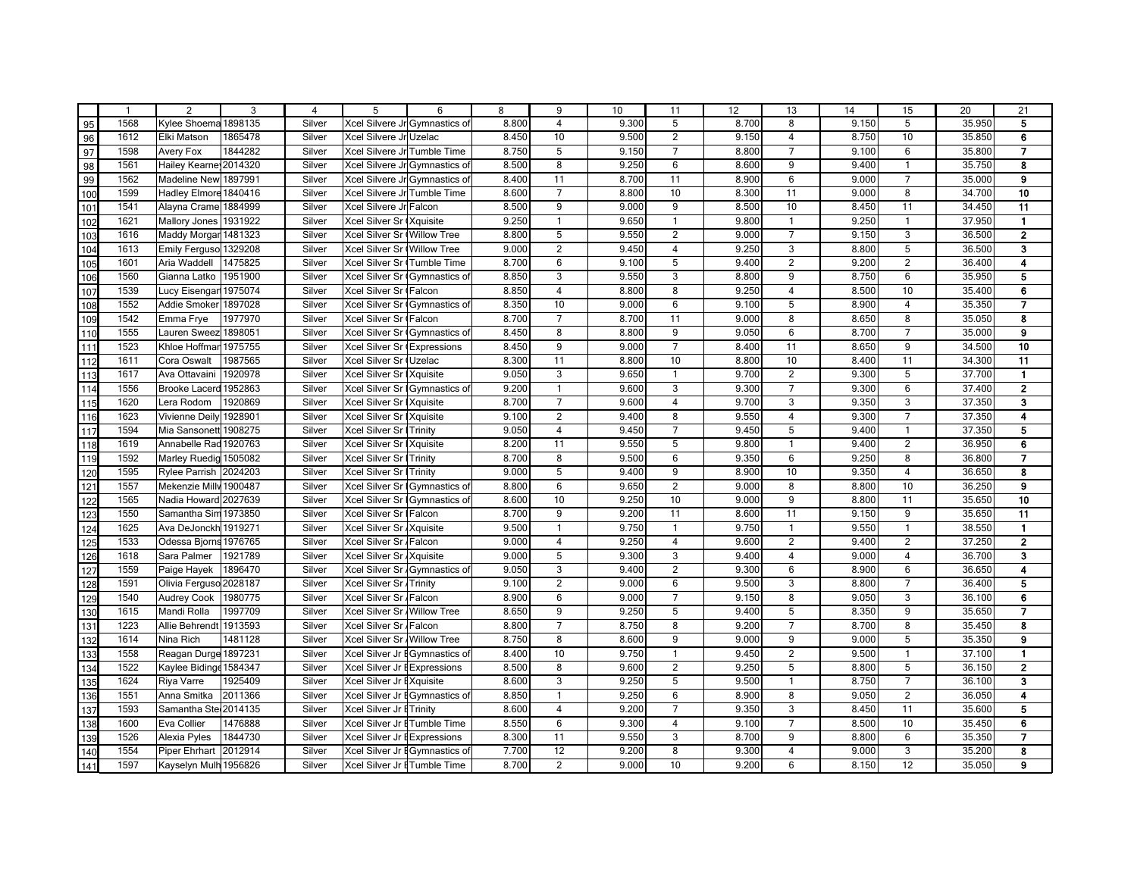|                | $\overline{1}$ | 2                      | 3       | $\overline{4}$ | 5                               | 6                             | 8     | 9               | 10    | 11                      | 12    | 13              | 14    | 15                      | 20     | 21                      |
|----------------|----------------|------------------------|---------|----------------|---------------------------------|-------------------------------|-------|-----------------|-------|-------------------------|-------|-----------------|-------|-------------------------|--------|-------------------------|
| 95             | 1568           | Kylee Shoema 1898135   |         | Silver         |                                 | Xcel Silvere Jr Gymnastics of | 8.800 | 4               | 9.300 | 5                       | 8.700 | 8               | 9.150 | 5                       | 35.950 | 5                       |
| 96             | 1612           | Elki Matson            | 1865478 | Silver         | Xcel Silvere Jr Uzelac          |                               | 8.450 | 10              | 9.500 | $\overline{2}$          | 9.150 | $\overline{4}$  | 8.750 | 10                      | 35.850 | 6                       |
| 97             | 1598           | Avery Fox              | 1844282 | Silver         | Xcel Silvere Jr Tumble Time     |                               | 8.750 | 5               | 9.150 | $\overline{7}$          | 8.800 | $\overline{7}$  | 9.100 | 6                       | 35.800 | $\overline{7}$          |
| 98             | 1561           | Hailey Kearne 2014320  |         | Silver         |                                 | Xcel Silvere Jr Gymnastics of | 8.500 | 8               | 9.250 | 6                       | 8.600 | 9               | 9.400 | $\mathbf{1}$            | 35.750 | 8                       |
| 99             | 1562           | Madeline New 1897991   |         | Silver         | Xcel Silvere Jr Gymnastics of   |                               | 8.400 | 11              | 8.700 | 11                      | 8.900 | 6               | 9.000 | $\overline{7}$          | 35.000 | 9                       |
| 100            | 1599           | Hadley Elmore 1840416  |         | Silver         | Xcel Silvere Jr Tumble Time     |                               | 8.600 | $\overline{7}$  | 8.800 | 10                      | 8.300 | 11              | 9.000 | 8                       | 34.700 | 10                      |
| 101            | 1541           | Alayna Crame 1884999   |         | Silver         | Xcel Silvere Jr Falcon          |                               | 8.500 | 9               | 9.000 | 9                       | 8.500 | 10              | 8.450 | 11                      | 34.450 | 11                      |
| 102            | 1621           | Mallory Jones          | 1931922 | Silver         | Xcel Silver Sr (Xquisite        |                               | 9.250 | $\mathbf{1}$    | 9.650 | $\mathbf{1}$            | 9.800 | $\mathbf{1}$    | 9.250 | $\mathbf{1}$            | 37.950 | $\mathbf{1}$            |
| 103            | 1616           | Maddy Morgar 1481323   |         | Silver         | Xcel Silver Sr (Willow Tree     |                               | 8.800 | 5 <sup>5</sup>  | 9.550 | $\overline{2}$          | 9.000 | $\overline{7}$  | 9.150 | $\overline{3}$          | 36.500 | $\overline{\mathbf{2}}$ |
| 104            | 1613           | Emily Ferguso 1329208  |         | Silver         | Xcel Silver Sr (Willow Tree     |                               | 9.000 | 2               | 9.450 | $\overline{4}$          | 9.250 | $\overline{3}$  | 8.800 | 5                       | 36.500 | 3                       |
| 105            | 1601           | Aria Waddell           | 1475825 | Silver         | Xcel Silver Sr (Tumble Time     |                               | 8.700 | 6               | 9.100 | 5                       | 9.400 | $\overline{2}$  | 9.200 | $\overline{2}$          | 36.400 | 4                       |
| 106            | 1560           | Gianna Latko           | 1951900 | Silver         | Xcel Silver Sr (Gymnastics of   |                               | 8.850 | 3               | 9.550 | 3                       | 8.800 | 9               | 8.750 | 6                       | 35.950 | 5                       |
| 107            | 1539           | Lucy Eisengar 1975074  |         | Silver         | Xcel Silver Sr (Falcon          |                               | 8.850 | $\overline{4}$  | 8.800 | 8                       | 9.250 | $\overline{4}$  | 8.500 | 10                      | 35.400 | 6                       |
| 108            | 1552           | Addie Smoker 1897028   |         | Silver         | Xcel Silver Sr Gymnastics of    |                               | 8.350 | 10              | 9.000 | 6                       | 9.100 | 5               | 8.900 | $\overline{\mathbf{4}}$ | 35.350 | 7                       |
| 109            | 1542           | Emma Frye              | 1977970 | Silver         | Xcel Silver Sr (Falcon          |                               | 8.700 | $\overline{7}$  | 8.700 | 11                      | 9.000 | 8               | 8.650 | 8                       | 35.050 | 8                       |
| 110            | 1555           | Lauren Sweez 1898051   |         | Silver         |                                 | Xcel Silver Sr (Gymnastics of | 8.450 | 8               | 8.800 | 9                       | 9.050 | $6\phantom{1}6$ | 8.700 | $\overline{7}$          | 35.000 | 9                       |
| 111            | 1523           | Khloe Hoffmar          | 1975755 | Silver         | Xcel Silver Sr (Expressions     |                               | 8.450 | 9               | 9.000 | $\overline{7}$          | 8.400 | 11              | 8.650 | 9                       | 34.500 | 10                      |
| $\frac{1}{12}$ | 1611           | Cora Oswalt            | 1987565 | Silver         | Xcel Silver Sr (Uzelac          |                               | 8.300 | 11              | 8.800 | 10                      | 8.800 | 10              | 8.400 | 11                      | 34.300 | 11                      |
| 113            | 1617           | Ava Ottavaini          | 1920978 | Silver         | Xcel Silver Sr   Xquisite       |                               | 9.050 | 3               | 9.650 | $\mathbf{1}$            | 9.700 | $\overline{2}$  | 9.300 | 5                       | 37.700 | $\mathbf{1}$            |
| 114            | 1556           | Brooke Lacerd 1952863  |         | Silver         |                                 | Xcel Silver Sr Gymnastics of  | 9.200 | $\mathbf{1}$    | 9.600 | 3                       | 9.300 | $\overline{7}$  | 9.300 | 6                       | 37.400 | $\overline{2}$          |
| 115            | 1620           | Lera Rodom             | 1920869 | Silver         | Xcel Silver Sr   Xquisite       |                               | 8.700 | $\overline{7}$  | 9.600 | $\overline{4}$          | 9.700 | $\overline{3}$  | 9.350 | 3                       | 37.350 | 3                       |
| 116            | 1623           | Vivienne Deily 1928901 |         | Silver         | Xcel Silver Sr   Xquisite       |                               | 9.100 | $\overline{2}$  | 9.400 | 8                       | 9.550 | $\overline{4}$  | 9.300 | $\overline{7}$          | 37.350 | 4                       |
| 117            | 1594           | Mia Sansonett 1908275  |         | Silver         | <b>Xcel Silver Sr   Trinity</b> |                               | 9.050 | 4               | 9.450 | $\overline{7}$          | 9.450 | 5               | 9.400 | $\mathbf{1}$            | 37.350 | 5                       |
| 118            | 1619           | Annabelle Rad 1920763  |         | Silver         | Xcel Silver Sr   Xquisite       |                               | 8.200 | 11              | 9.550 | 5                       | 9.800 | $\overline{1}$  | 9.400 | $\overline{2}$          | 36.950 | 6                       |
| 119            | 1592           | Marley Ruedig 1505082  |         | Silver         | Xcel Silver Sr   Trinity        |                               | 8.700 | 8               | 9.500 | 6                       | 9.350 | 6               | 9.250 | 8                       | 36.800 | $\overline{7}$          |
| 120            | 1595           | Rylee Parrish 2024203  |         | Silver         | <b>Xcel Silver Sr I Trinity</b> |                               | 9.000 | 5               | 9.400 | 9                       | 8.900 | 10              | 9.350 | $\overline{\mathbf{4}}$ | 36.650 | 8                       |
| 121            | 1557           | Mekenzie Milly 1900487 |         | Silver         |                                 | Xcel Silver Sr Gymnastics of  | 8.800 | 6               | 9.650 | $\overline{2}$          | 9.000 | $\overline{8}$  | 8.800 | 10                      | 36.250 | 9                       |
| 122            | 1565           | Nadia Howard 2027639   |         | Silver         | Xcel Silver Sr Gymnastics of    |                               | 8.600 | 10              | 9.250 | 10                      | 9.000 | 9               | 8.800 | 11                      | 35.650 | 10                      |
| 123            | 1550           | Samantha Sim 1973850   |         | Silver         | Xcel Silver Sr   Falcon         |                               | 8.700 | 9               | 9.200 | 11                      | 8.600 | 11              | 9.150 | 9                       | 35.650 | 11                      |
| 124            | 1625           | Ava DeJonckh 1919271   |         | Silver         | Xcel Silver Sr Xquisite         |                               | 9.500 | $\mathbf{1}$    | 9.750 | $\mathbf{1}$            | 9.750 | $\overline{1}$  | 9.550 | $\mathbf{1}$            | 38.550 | $\mathbf{1}$            |
| 125            | 1533           | Odessa Bjorns 1976765  |         | Silver         | Xcel Silver Sr Falcon           |                               | 9.000 | $\overline{4}$  | 9.250 | $\overline{4}$          | 9.600 | $\overline{2}$  | 9.400 | $\overline{2}$          | 37.250 | $\overline{2}$          |
| 126            | 1618           | Sara Palmer            | 1921789 | Silver         | Xcel Silver Sr Xquisite         |                               | 9.000 | 5               | 9.300 | 3                       | 9.400 | $\overline{4}$  | 9.000 | $\overline{\mathbf{4}}$ | 36.700 | 3                       |
| $127$          | 1559           | Paige Hayek            | 1896470 | Silver         |                                 | Xcel Silver Sr Gymnastics of  | 9.050 | $\overline{3}$  | 9.400 | $\overline{2}$          | 9.300 | 6               | 8.900 | 6                       | 36.650 | 4                       |
| 128            | 1591           | Olivia Ferguso 2028187 |         | Silver         | Xcel Silver Sr Trinity          |                               | 9.100 | $\overline{2}$  | 9.000 | 6                       | 9.500 | $\overline{3}$  | 8.800 | $\overline{7}$          | 36.400 | 5                       |
| 129            | 1540           | <b>Audrey Cook</b>     | 1980775 | Silver         | Xcel Silver Sr / Falcon         |                               | 8.900 | $6\overline{6}$ | 9.000 | $\overline{7}$          | 9.150 | 8               | 9.050 | 3                       | 36.100 | 6                       |
| 130            | 1615           | Mandi Rolla            | 1997709 | Silver         | Xcel Silver Sr Willow Tree      |                               | 8.650 | 9               | 9.250 | 5                       | 9.400 | $\overline{5}$  | 8.350 | 9                       | 35.650 | 7                       |
| 131            | 1223           | Allie Behrendt 1913593 |         | Silver         | Xcel Silver Sr / Falcon         |                               | 8.800 | $\overline{7}$  | 8.750 | 8                       | 9.200 | $\overline{7}$  | 8.700 | 8                       | 35.450 | 8                       |
| 132            | 1614           | Nina Rich              | 1481128 | Silver         | Xcel Silver Sr Willow Tree      |                               | 8.750 | 8               | 8.600 | 9                       | 9.000 | 9               | 9.000 | 5                       | 35.350 | 9                       |
| 133            | 1558           | Reagan Durge 1897231   |         | Silver         | Xcel Silver Jr EGymnastics of   |                               | 8.400 | 10              | 9.750 | $\mathbf{1}$            | 9.450 | $\overline{2}$  | 9.500 | $\mathbf{1}$            | 37.100 | $\blacksquare$          |
| 134            | 1522           | Kaylee Biding 1584347  |         | Silver         | Xcel Silver Jr EExpressions     |                               | 8.500 | 8               | 9.600 | $\overline{2}$          | 9.250 | 5               | 8.800 | 5                       | 36.150 | $\overline{2}$          |
| 135            | 1624           | Riya Varre             | 1925409 | Silver         | Xcel Silver Jr EXquisite        |                               | 8.600 | 3               | 9.250 | 5                       | 9.500 | $\overline{1}$  | 8.750 | $\overline{7}$          | 36.100 | $\overline{\mathbf{3}}$ |
| 136            | 1551           | Anna Smitka            | 2011366 | Silver         |                                 | Xcel Silver Jr EGymnastics of | 8.850 | $\mathbf{1}$    | 9.250 | 6                       | 8.900 | 8               | 9.050 | $\overline{2}$          | 36.050 | 4                       |
| 137            | 1593           | Samantha Ste 2014135   |         | Silver         | Xcel Silver Jr E Trinity        |                               | 8.600 | $\overline{4}$  | 9.200 | $\overline{7}$          | 9.350 | 3               | 8.450 | 11                      | 35.600 | 5                       |
| 138            | 1600           | Eva Collier            | 1476888 | Silver         | Xcel Silver Jr ETumble Time     |                               | 8.550 | 6               | 9.300 | $\overline{\mathbf{4}}$ | 9.100 | $\overline{7}$  | 8.500 | 10                      | 35.450 | 6                       |
| 139            | 1526           | Alexia Pyles           | 1844730 | Silver         | Xcel Silver Jr EExpressions     |                               | 8.300 | 11              | 9.550 | $\overline{3}$          | 8.700 | $\overline{9}$  | 8.800 | 6                       | 35.350 | $\overline{7}$          |
| 140            | 1554           | Piper Ehrhart          | 2012914 | Silver         | Xcel Silver Jr EGymnastics of   |                               | 7.700 | 12              | 9.200 | 8                       | 9.300 | $\overline{4}$  | 9.000 | $\overline{3}$          | 35.200 | $\overline{\mathbf{8}}$ |
| 141            | 1597           | Kayselyn Mulh 1956826  |         | Silver         | Xcel Silver Jr ETumble Time     |                               | 8.700 | $\overline{2}$  | 9.000 | 10                      | 9.200 | 6               | 8.150 | 12                      | 35.050 | $\mathbf{9}$            |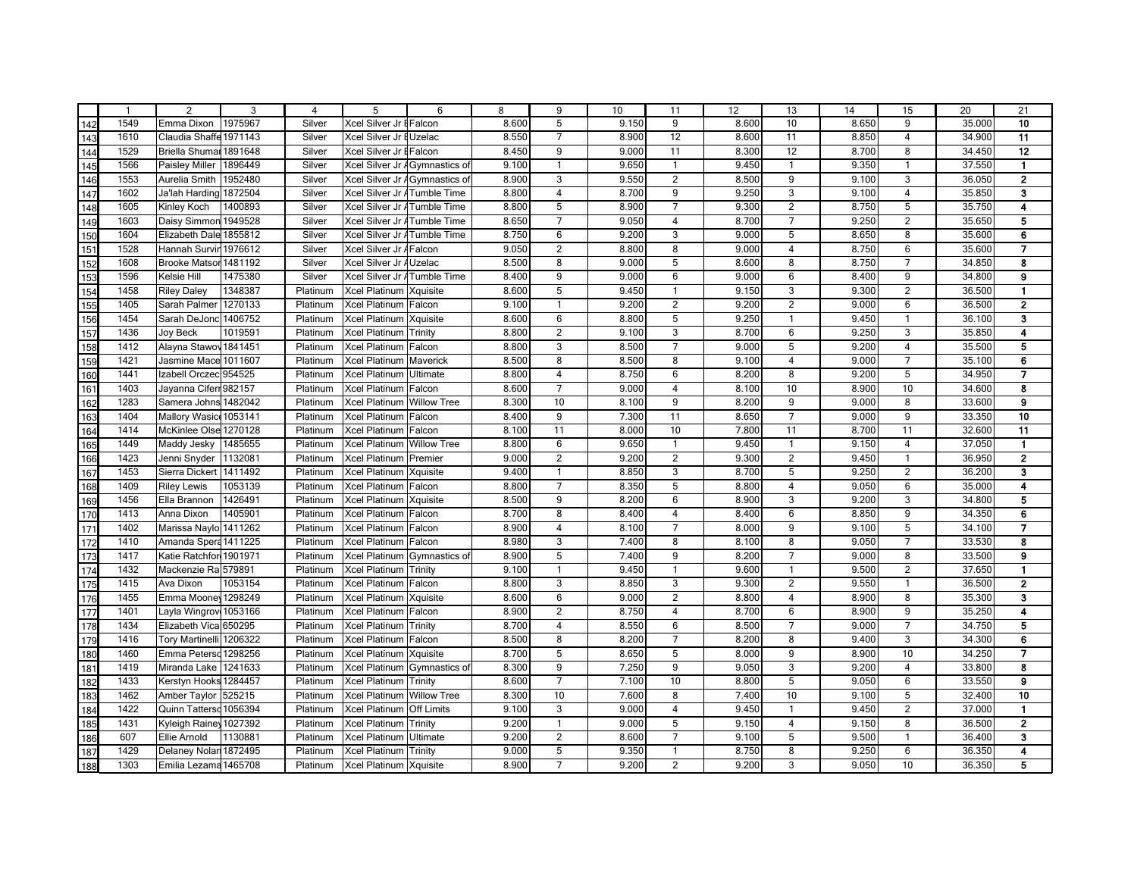|                                                             | $\mathbf{1}$ | $\overline{2}$          | 3       | 4        | 5                              | 6                             | 8     | 9              | 10    | 11             | 12    | 13             | 14    | 15                      | 20     | 21                      |
|-------------------------------------------------------------|--------------|-------------------------|---------|----------|--------------------------------|-------------------------------|-------|----------------|-------|----------------|-------|----------------|-------|-------------------------|--------|-------------------------|
| 142                                                         | 1549         | Emma Dixon              | 1975967 | Silver   | Xcel Silver Jr EFalcon         |                               | 8.600 | 5              | 9.150 | 9              | 8.600 | 10             | 8.650 | 9                       | 35.000 | 10                      |
| 143                                                         | 1610         | Claudia Shaffe 1971143  |         | Silver   | Xcel Silver Jr EUzelac         |                               | 8.550 | $\overline{7}$ | 8.900 | 12             | 8.600 | 11             | 8.850 | $\overline{4}$          | 34.900 | 11                      |
| 144                                                         | 1529         | Briella Shumar          | 1891648 | Silver   | Xcel Silver Jr EFalcon         |                               | 8.450 | 9              | 9.000 | 11             | 8.300 | 12             | 8.700 | 8                       | 34.450 | 12                      |
| 145                                                         | 1566         | <b>Paisley Miller</b>   | 1896449 | Silver   |                                | Xcel Silver Jr AGymnastics of | 9.100 | $\overline{1}$ | 9.650 | $\mathbf{1}$   | 9.450 | $\overline{1}$ | 9.350 | $\mathbf{1}$            | 37.550 | $\mathbf{1}$            |
| 146<br>147<br>148<br>149<br>150<br>151<br>152               | 1553         | Aurelia Smith           | 1952480 | Silver   | Xcel Silver Jr A Gymnastics of |                               | 8.900 | 3              | 9.550 | $\overline{c}$ | 8.500 | 9              | 9.100 | 3                       | 36.050 | $\overline{\mathbf{2}}$ |
|                                                             | 1602         | Ja'lah Harding 1872504  |         | Silver   | Xcel Silver Jr ATumble Time    |                               | 8.800 | $\overline{4}$ | 8.700 | 9              | 9.250 | 3              | 9.100 | $\overline{\mathbf{4}}$ | 35.850 | 3                       |
|                                                             | 1605         | Kinley Koch             | 1400893 | Silver   | Xcel Silver Jr ATumble Time    |                               | 8.800 | 5              | 8.900 | 7              | 9.300 | $\overline{2}$ | 8.750 | 5                       | 35.750 | 4                       |
|                                                             | 1603         | Daisy Simmon 1949528    |         | Silver   | Xcel Silver Jr ATumble Time    |                               | 8.650 | $\overline{7}$ | 9.050 | $\overline{4}$ | 8.700 | $\overline{7}$ | 9.250 | $\overline{2}$          | 35.650 | 5                       |
|                                                             | 1604         | Elizabeth Dale 1855812  |         | Silver   | Xcel Silver Jr ATumble Time    |                               | 8.750 | 6              | 9.200 | 3              | 9.000 | 5              | 8.650 | 8                       | 35.600 | 6                       |
|                                                             | 1528         | Hannah Survir           | 1976612 | Silver   | Xcel Silver Jr AFalcon         |                               | 9.050 | 2              | 8.800 | 8              | 9.000 | $\overline{4}$ | 8.750 | 6                       | 35.600 | $\overline{7}$          |
|                                                             | 1608         | <b>Brooke Matsor</b>    | 1481192 | Silver   | Xcel Silver Jr AUzelac         |                               | 8.500 | 8              | 9.000 | 5              | 8.600 | 8              | 8.750 | $\overline{7}$          | 34.850 | 8                       |
| 153                                                         | 1596         | Kelsie Hill             | 1475380 | Silver   | Xcel Silver Jr ATumble Time    |                               | 8.400 | 9              | 9.000 | 6              | 9.000 | 6              | 8.400 | 9                       | 34.800 | 9                       |
|                                                             | 1458         | <b>Riley Daley</b>      | 1348387 | Platinum | Xcel Platinum Xquisite         |                               | 8.600 | 5              | 9.450 | $\mathbf{1}$   | 9.150 | 3              | 9.300 | $\overline{2}$          | 36.500 | $\mathbf{1}$            |
| $\frac{154}{155}$                                           | 1405         | Sarah Palmer 1270133    |         | Platinum | Xcel Platinum Falcon           |                               | 9.100 | $\mathbf{1}$   | 9.200 | $\overline{2}$ | 9.200 | $\overline{2}$ | 9.000 | 6                       | 36.500 | $\overline{\mathbf{2}}$ |
|                                                             | 1454         | Sarah DeJonc            | 1406752 | Platinum | Xcel Platinum   Xquisite       |                               | 8.600 | 6              | 8.800 | 5              | 9.250 | $\overline{1}$ | 9.450 | $\mathbf{1}$            | 36.100 | 3                       |
| 157                                                         | 1436         | <b>Joy Beck</b>         | 1019591 | Platinum | Xcel Platinum                  | Trinity                       | 8.800 | $\overline{2}$ | 9.100 | 3              | 8.700 | 6              | 9.250 | 3                       | 35.850 | 4                       |
| 158<br>159<br>160<br>161                                    | 1412         | Alayna Stawov 1841451   |         | Platinum | Xcel Platinum                  | Falcon                        | 8.800 | 3              | 8.500 | $\overline{7}$ | 9.000 | 5              | 9.200 | $\overline{4}$          | 35.500 | 5                       |
|                                                             | 1421         | Jasmine Mace 1011607    |         | Platinum | Xcel Platinum                  | Maverick                      | 8.500 | 8              | 8.500 | 8              | 9.100 | $\overline{4}$ | 9.000 | $\overline{7}$          | 35.100 | 6                       |
|                                                             | 1441         | Izabell Orczec 954525   |         | Platinum | <b>Xcel Platinum</b>           | Ultimate                      | 8.800 | $\overline{4}$ | 8.750 | 6              | 8.200 | 8              | 9.200 | 5                       | 34.950 | $\overline{7}$          |
|                                                             | 1403         | Jayanna Ciferr 982157   |         | Platinum | Xcel Platinum                  | Falcon                        | 8.600 | $\overline{7}$ | 9.000 | 4              | 8.100 | 10             | 8.900 | 10                      | 34.600 | 8                       |
| $\frac{162}{163}$<br>$\frac{163}{164}$                      | 1283         | Samera Johns 1482042    |         | Platinum | Xcel Platinum                  | <b>Willow Tree</b>            | 8.300 | 10             | 8.100 | 9              | 8.200 | 9              | 9.000 | 8                       | 33.600 | 9                       |
|                                                             | 1404         | Mallory Wasic 1053141   |         | Platinum | Xcel Platinum Falcon           |                               | 8.400 | 9              | 7.300 | 11             | 8.650 | $\overline{7}$ | 9.000 | 9                       | 33.350 | 10                      |
|                                                             | 1414         | McKinlee Olse 1270128   |         | Platinum | Xcel Platinum Falcon           |                               | 8.100 | 11             | 8.000 | 10             | 7.800 | 11             | 8.700 | 11                      | 32.600 | 11                      |
|                                                             | 1449         | Maddy Jesky             | 1485655 | Platinum | Xcel Platinum Willow Tree      |                               | 8.800 | 6              | 9.650 | $\mathbf{1}$   | 9.450 | $\overline{1}$ | 9.150 | $\overline{4}$          | 37.050 | $\mathbf{1}$            |
|                                                             | 1423         | Jenni Snyder            | 1132081 | Platinum | Xcel Platinum Premier          |                               | 9.000 | $\overline{2}$ | 9.200 | $\overline{2}$ | 9.300 | $\overline{2}$ | 9.450 | $\mathbf{1}$            | 36.950 | $\mathbf{2}$            |
|                                                             | 1453         | Sierra Dickert          | 1411492 | Platinum | Xcel Platinum                  | Xquisite                      | 9.400 | $\mathbf{1}$   | 8.850 | 3              | 8.700 | 5              | 9.250 | $\overline{2}$          | 36.200 | 3                       |
| 166<br>167<br>168<br>169                                    | 1409         | <b>Riley Lewis</b>      | 1053139 | Platinum | Xcel Platinum Falcon           |                               | 8.800 | $\overline{7}$ | 8.350 | 5              | 8.800 | $\overline{4}$ | 9.050 | 6                       | 35.000 | 4                       |
|                                                             | 1456         | Ella Brannon            | 1426491 | Platinum | Xcel Platinum                  | Xquisite                      | 8.500 | 9              | 8.200 | 6              | 8.900 | 3              | 9.200 | 3                       | 34.800 | 5                       |
| 170                                                         | 1413         | Anna Dixon              | 1405901 | Platinum | Xcel Platinum Falcon           |                               | 8.700 | 8              | 8.400 | 4              | 8.400 | 6              | 8.850 | 9                       | 34.350 | 6                       |
| 171                                                         | 1402         | Marissa Naylo 1411262   |         | Platinum | Xcel Platinum Falcon           |                               | 8.900 | $\overline{4}$ | 8.100 | $\overline{7}$ | 8.000 | 9              | 9.100 | 5                       | 34.100 | 7                       |
| 172                                                         | 1410         | Amanda Spera 1411225    |         | Platinum | Xcel Platinum Falcon           |                               | 8.980 | 3              | 7.400 | 8              | 8.100 | 8              | 9.050 | $\overline{7}$          | 33.530 | 8                       |
| $\frac{173}{174}$                                           | 1417         | Katie Ratchfor 1901971  |         | Platinum | Xcel Platinum Gymnastics of    |                               | 8.900 | 5              | 7.400 | 9              | 8.200 | $\overline{7}$ | 9.000 | 8                       | 33.500 | 9                       |
|                                                             | 1432         | Mackenzie Ra 579891     |         | Platinum | Xcel Platinum Trinity          |                               | 9.100 | $\mathbf{1}$   | 9.450 | $\mathbf{1}$   | 9.600 | $\overline{1}$ | 9.500 | $\overline{2}$          | 37.650 | $\mathbf{1}$            |
| $\frac{175}{176}$ $\frac{177}{178}$                         | 1415         | Ava Dixon               | 1053154 | Platinum | Xcel Platinum Falcon           |                               | 8.800 | 3              | 8.850 | 3              | 9.300 | $\overline{2}$ | 9.550 | $\mathbf{1}$            | 36.500 | $\mathbf{2}$            |
|                                                             | 1455         | Emma Moone 1298249      |         | Platinum | Xcel Platinum                  | Xquisite                      | 8.600 | 6              | 9.000 | $\overline{2}$ | 8.800 | $\overline{4}$ | 8.900 | 8                       | 35.300 | 3                       |
|                                                             | 1401         | Layla Wingrov 1053166   |         | Platinum | Xcel Platinum                  | Falcon                        | 8.900 | 2              | 8.750 | 4              | 8.700 | 6              | 8.900 | 9                       | 35.250 | 4                       |
|                                                             | 1434         | Elizabeth Vica 650295   |         | Platinum | Xcel Platinum                  | Trinity                       | 8.700 | 4              | 8.550 | 6              | 8.500 | $\overline{7}$ | 9.000 | $\overline{7}$          | 34.750 | 5                       |
| 179                                                         | 1416         | Tory Martinelli 1206322 |         | Platinum | Xcel Platinum Falcon           |                               | 8.500 | 8              | 8.200 | 7              | 8.200 | 8              | 9.400 | 3                       | 34.300 | 6                       |
|                                                             | 1460         | Emma Petersd 1298256    |         | Platinum | Xcel Platinum Xquisite         |                               | 8.700 | 5              | 8.650 | 5              | 8.000 | 9              | 8.900 | 10                      | 34.250 | 7                       |
| $\frac{180}{181}$<br>$\frac{181}{182}$<br>$\frac{182}{183}$ | 1419         | Miranda Lake 1241633    |         | Platinum | Xcel Platinum Gymnastics of    |                               | 8.300 | 9              | 7.250 | 9              | 9.050 | 3              | 9.200 | $\overline{\mathbf{4}}$ | 33.800 | 8                       |
|                                                             | 1433         | Kerstyn Hooks 1284457   |         | Platinum | Xcel Platinum                  | Trinity                       | 8.600 | $\overline{7}$ | 7.100 | 10             | 8.800 | 5              | 9.050 | 6                       | 33.550 | 9                       |
|                                                             | 1462         | Amber Taylor            | 525215  | Platinum | Xcel Platinum                  | <b>Willow Tree</b>            | 8.300 | 10             | 7.600 | 8              | 7.400 | 10             | 9.100 | 5                       | 32.400 | 10                      |
| 184<br>185<br>186<br>187<br>188                             | 1422         | Quinn Tattersd 1056394  |         | Platinum | Xcel Platinum                  | <b>Off Limits</b>             | 9.100 | 3              | 9.000 | $\overline{4}$ | 9.450 | $\overline{1}$ | 9.450 | $\overline{2}$          | 37.000 | $\mathbf{1}$            |
|                                                             | 1431         | Kyleigh Rainey 1027392  |         | Platinum | <b>Xcel Platinum</b>           | Trinity                       | 9.200 | $\mathbf{1}$   | 9.000 | 5              | 9.150 | $\overline{4}$ | 9.150 | 8                       | 36.500 | $\mathbf{2}$            |
|                                                             | 607          | Ellie Arnold            | 1130881 | Platinum | <b>Xcel Platinum</b>           | Ultimate                      | 9.200 | $\overline{2}$ | 8.600 | $\overline{7}$ | 9.100 | $\overline{5}$ | 9.500 | $\mathbf{1}$            | 36.400 | 3                       |
|                                                             | 1429         | Delaney Nolar 1872495   |         | Platinum | <b>Xcel Platinum</b>           | Trinity                       | 9.000 | 5              | 9.350 | $\mathbf{1}$   | 8.750 | 8              | 9.250 | 6                       | 36.350 | 4                       |
|                                                             | 1303         | Emilia Lezama 1465708   |         | Platinum | Xcel Platinum Xquisite         |                               | 8.900 | $\overline{7}$ | 9.200 | $\overline{2}$ | 9.200 | 3              | 9.050 | 10                      | 36.350 | 5                       |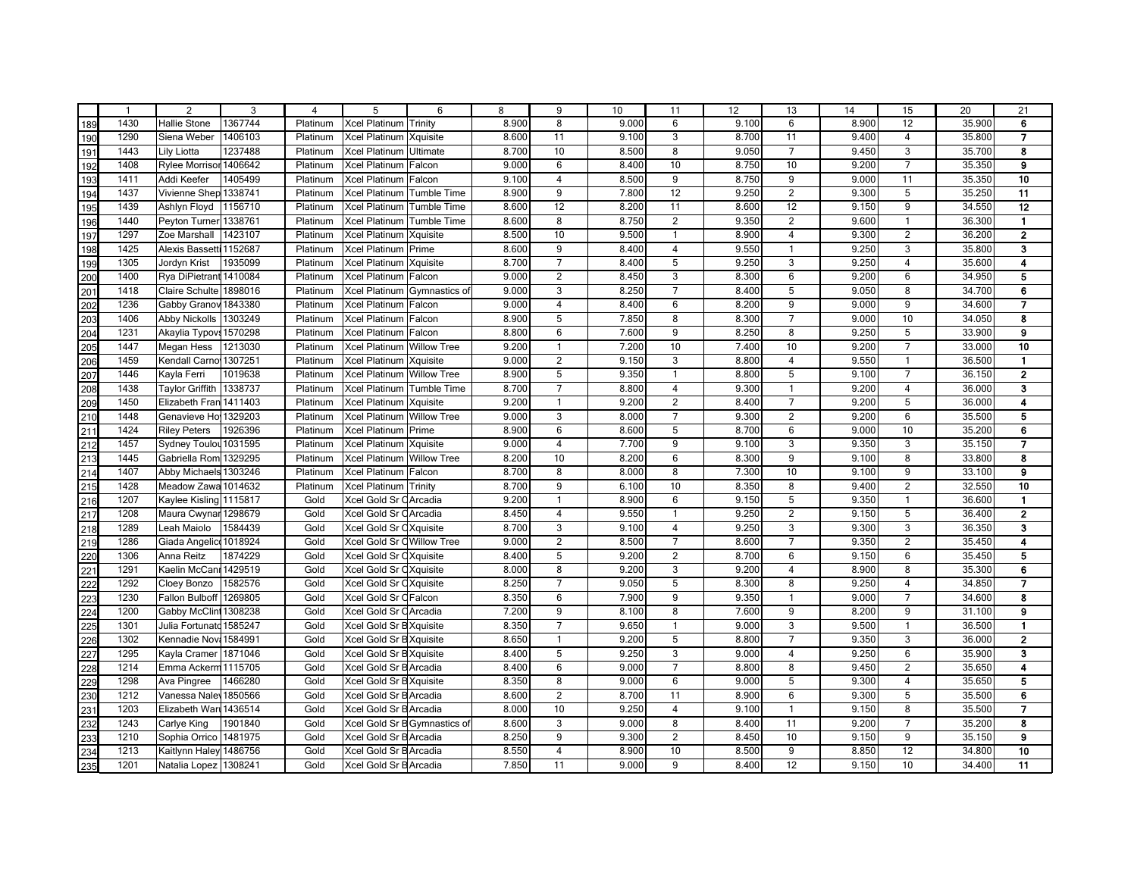|     | $\overline{1}$ | 2                       | 3       | $\overline{4}$ | 5                                | 6                            | 8     | 9                       | 10    | 11                      | 12    | 13               | 14    | 15             | 20     | 21                      |
|-----|----------------|-------------------------|---------|----------------|----------------------------------|------------------------------|-------|-------------------------|-------|-------------------------|-------|------------------|-------|----------------|--------|-------------------------|
| 189 | 1430           | <b>Hallie Stone</b>     | 1367744 | Platinum       | <b>Xcel Platinum</b>             | Trinity                      | 8.900 | 8                       | 9.000 | 6                       | 9.100 | 6                | 8.900 | 12             | 35.900 | 6                       |
| 190 | 1290           | Siena Weber             | 1406103 | Platinum       | <b>Xcel Platinum</b>             | Xquisite                     | 8.600 | 11                      | 9.100 | 3                       | 8.700 | 11               | 9.400 | $\overline{4}$ | 35.800 | $\overline{7}$          |
| 191 | 1443           | Lily Liotta             | 1237488 | Platinum       | <b>Xcel Platinum</b>             | Ultimate                     | 8.700 | 10                      | 8.500 | 8                       | 9.050 | $\overline{7}$   | 9.450 | 3              | 35.700 | 8                       |
| 192 | 1408           | Rylee Morrisor 1406642  |         | Platinum       | Xcel Platinum Falcon             |                              | 9.000 | 6                       | 8.400 | 10                      | 8.750 | 10               | 9.200 | $\overline{7}$ | 35.350 | 9                       |
| 193 | 1411           | Addi Keefer             | 1405499 | Platinum       | Xcel Platinum Falcon             |                              | 9.100 | $\overline{\mathbf{4}}$ | 8.500 | 9                       | 8.750 | $\boldsymbol{9}$ | 9.000 | 11             | 35.350 | 10                      |
| 194 | 1437           | Vivienne Shep 1338741   |         | Platinum       | Xcel Platinum Tumble Time        |                              | 8.900 | 9                       | 7.800 | 12                      | 9.250 | 2                | 9.300 | 5              | 35.250 | 11                      |
| 195 | 1439           | Ashlyn Floyd            | 1156710 | Platinum       | Xcel Platinum                    | <b>Tumble Time</b>           | 8.600 | 12                      | 8.200 | 11                      | 8.600 | 12               | 9.150 | 9              | 34.550 | 12                      |
| 196 | 1440           | Peyton Turner 1338761   |         | Platinum       | Xcel Platinum                    | Tumble Time                  | 8.600 | 8                       | 8.750 | $\overline{2}$          | 9.350 | 2                | 9.600 | $\mathbf{1}$   | 36.300 | $\blacksquare$          |
| 197 | 1297           | Zoe Marshall            | 1423107 | Platinum       | Xcel Platinum                    | Xquisite                     | 8.500 | 10                      | 9.500 | $\mathbf{1}$            | 8.900 | $\overline{4}$   | 9.300 | $\overline{2}$ | 36.200 | $\overline{\mathbf{2}}$ |
| 198 | 1425           | Alexis Bassetti 1152687 |         | Platinum       | <b>Xcel Platinum</b>             | Prime                        | 8.600 | 9                       | 8.400 | $\overline{4}$          | 9.550 | $\overline{1}$   | 9.250 | 3              | 35.800 | 3                       |
| 199 | 1305           | Jordyn Krist            | 1935099 | Platinum       | Xcel Platinum                    | Xquisite                     | 8.700 | $\overline{7}$          | 8.400 | 5                       | 9.250 | 3                | 9.250 | $\overline{4}$ | 35.600 | 4                       |
| 200 | 1400           | Rya DiPietrant 1410084  |         | Platinum       | Xcel Platinum                    | Falcon                       | 9.000 | 2                       | 8.450 | 3                       | 8.300 | $6\phantom{1}6$  | 9.200 | 6              | 34.950 | 5                       |
| 201 | 1418           | Claire Schulte 1898016  |         | Platinum       |                                  | Xcel Platinum Gymnastics of  | 9.000 | 3                       | 8.250 | $\overline{7}$          | 8.400 | 5                | 9.050 | 8              | 34.700 | 6                       |
| 202 | 1236           | Gabby Granov 1843380    |         | Platinum       | Xcel Platinum Falcon             |                              | 9.000 | $\overline{\mathbf{4}}$ | 8.400 | 6                       | 8.200 | 9                | 9.000 | 9              | 34.600 | 7                       |
| 203 | 1406           | <b>Abby Nickolls</b>    | 1303249 | Platinum       | Xcel Platinum Falcon             |                              | 8.900 | 5                       | 7.850 | 8                       | 8.300 | $\overline{7}$   | 9.000 | 10             | 34.050 | 8                       |
| 204 | 1231           | Akaylia Typovs 1570298  |         | Platinum       | Xcel Platinum                    | Falcon                       | 8.800 | 6                       | 7.600 | 9                       | 8.250 | 8                | 9.250 | 5              | 33.900 | 9                       |
| 205 | 1447           | <b>Megan Hess</b>       | 1213030 | Platinum       | Xcel Platinum                    | <b>Willow Tree</b>           | 9.200 | $\mathbf{1}$            | 7.200 | 10                      | 7.400 | 10               | 9.200 | $\overline{7}$ | 33.000 | 10                      |
| 206 | 1459           | Kendall Carno 1307251   |         | Platinum       | Xcel Platinum                    | Xquisite                     | 9.000 | $\overline{2}$          | 9.150 | $\overline{3}$          | 8.800 | $\overline{4}$   | 9.550 | $\mathbf{1}$   | 36.500 | $\blacksquare$          |
| 207 | 1446           | Kayla Ferri             | 1019638 | Platinum       | <b>Xcel Platinum</b>             | <b>Willow Tree</b>           | 8.900 | $\overline{5}$          | 9.350 | $\mathbf{1}$            | 8.800 | $\overline{5}$   | 9.100 | $\overline{7}$ | 36.150 | $\overline{2}$          |
| 208 | 1438           | Taylor Griffith         | 1338737 | Platinum       | Xcel Platinum                    | <b>Tumble Time</b>           | 8.700 | $\overline{7}$          | 8.800 | $\overline{4}$          | 9.300 | $\overline{1}$   | 9.200 | $\overline{4}$ | 36.000 | $\overline{\mathbf{3}}$ |
| 209 | 1450           | Elizabeth Fran 1411403  |         | Platinum       | Xcel Platinum                    | Xquisite                     | 9.200 | $\mathbf{1}$            | 9.200 | $\overline{2}$          | 8.400 | $\overline{7}$   | 9.200 | 5              | 36.000 | 4                       |
| 210 | 1448           | Genavieve Ho 1329203    |         | Platinum       | Xcel Platinum Willow Tree        |                              | 9.000 | $\overline{3}$          | 8.000 | $\overline{7}$          | 9.300 | $\overline{2}$   | 9.200 | $6\phantom{1}$ | 35.500 | 5                       |
| 211 | 1424           | <b>Riley Peters</b>     | 1926396 | Platinum       | Xcel Platinum Prime              |                              | 8.900 | 6                       | 8.600 | 5                       | 8.700 | $6\phantom{1}6$  | 9.000 | 10             | 35.200 | 6                       |
| 212 | 1457           | Sydney Toulou 1031595   |         | Platinum       | Xcel Platinum Xquisite           |                              | 9.000 | $\overline{4}$          | 7.700 | 9                       | 9.100 | 3                | 9.350 | 3              | 35.150 | $\overline{7}$          |
| 213 | 1445           | Gabriella Rom 1329295   |         | Platinum       | <b>Xcel Platinum Willow Tree</b> |                              | 8.200 | 10                      | 8.200 | 6                       | 8.300 | 9                | 9.100 | 8              | 33.800 | 8                       |
| 214 | 1407           | Abby Michaels 1303246   |         | Platinum       | Xcel Platinum                    | Falcon                       | 8.700 | 8                       | 8.000 | 8                       | 7.300 | 10               | 9.100 | 9              | 33.100 | 9                       |
| 215 | 1428           | Meadow Zawa 1014632     |         | Platinum       | Xcel Platinum Trinity            |                              | 8.700 | 9                       | 6.100 | 10                      | 8.350 | 8                | 9.400 | $\overline{2}$ | 32.550 | 10                      |
| 216 | 1207           | Kaylee Kisling 1115817  |         | Gold           | Xcel Gold Sr CArcadia            |                              | 9.200 | $\mathbf{1}$            | 8.900 | 6                       | 9.150 | 5                | 9.350 | $\mathbf{1}$   | 36.600 | $\mathbf{1}$            |
| 217 | 1208           | Maura Cwynar 1298679    |         | Gold           | Xcel Gold Sr CArcadia            |                              | 8.450 | $\overline{4}$          | 9.550 | $\mathbf{1}$            | 9.250 | 2                | 9.150 | 5              | 36.400 | $\overline{2}$          |
| 218 | 1289           | Leah Maiolo             | 1584439 | Gold           | Xcel Gold Sr CXquisite           |                              | 8.700 | 3                       | 9.100 | $\overline{4}$          | 9.250 | 3                | 9.300 | 3              | 36.350 | 3                       |
| 219 | 1286           | Giada Angelico 1018924  |         | Gold           | Xcel Gold Sr O Willow Tree       |                              | 9.000 | 2                       | 8.500 | $\overline{7}$          | 8.600 | $\overline{7}$   | 9.350 | $\overline{2}$ | 35.450 | 4                       |
| 220 | 1306           | Anna Reitz              | 1874229 | Gold           | Xcel Gold Sr CXquisite           |                              | 8.400 | 5                       | 9.200 | $\overline{2}$          | 8.700 | $6\overline{6}$  | 9.150 | 6              | 35.450 | 5                       |
| 221 | 1291           | Kaelin McCanı 1429519   |         | Gold           | Xcel Gold Sr CXquisite           |                              | 8.000 | 8                       | 9.200 | 3                       | 9.200 | $\overline{4}$   | 8.900 | 8              | 35.300 | 6                       |
| 222 | 1292           | Cloey Bonzo             | 1582576 | Gold           | Xcel Gold Sr CXquisite           |                              | 8.250 | $\overline{7}$          | 9.050 | 5                       | 8.300 | 8                | 9.250 | $\overline{4}$ | 34.850 | $\overline{7}$          |
| 223 | 1230           | Fallon Bulboff          | 1269805 | Gold           | Xcel Gold Sr CFalcon             |                              | 8.350 | 6                       | 7.900 | 9                       | 9.350 | $\overline{1}$   | 9.000 | $\overline{7}$ | 34.600 | 8                       |
| 224 | 1200           | Gabby McClin 1308238    |         | Gold           | Xcel Gold Sr CArcadia            |                              | 7.200 | 9                       | 8.100 | 8                       | 7.600 | $\boldsymbol{9}$ | 8.200 | 9              | 31.100 | 9                       |
| 225 | 1301           | Julia Fortunato 1585247 |         | Gold           | Xcel Gold Sr B Xquisite          |                              | 8.350 | $\overline{7}$          | 9.650 | $\mathbf{1}$            | 9.000 | 3                | 9.500 | $\mathbf{1}$   | 36.500 | $\blacksquare$          |
| 226 | 1302           | Kennadie Nov. 1584991   |         | Gold           | Xcel Gold Sr B Xquisite          |                              | 8.650 | $\mathbf{1}$            | 9.200 | 5                       | 8.800 | $\overline{7}$   | 9.350 | 3              | 36.000 | $\overline{\mathbf{2}}$ |
| 227 | 1295           | Kayla Cramer            | 1871046 | Gold           | Xcel Gold Sr B Xquisite          |                              | 8.400 | 5                       | 9.250 | 3                       | 9.000 | $\overline{4}$   | 9.250 | 6              | 35.900 | 3                       |
| 228 | 1214           | Emma Ackerm 1115705     |         | Gold           | Xcel Gold Sr B Arcadia           |                              | 8.400 | 6                       | 9.000 | $\overline{7}$          | 8.800 | 8                | 9.450 | $\overline{2}$ | 35.650 | 4                       |
| 229 | 1298           | Ava Pingree             | 1466280 | Gold           | Xcel Gold Sr B Xquisite          |                              | 8.350 | 8                       | 9.000 | 6                       | 9.000 | $5\phantom{.0}$  | 9.300 | $\overline{4}$ | 35.650 | 5                       |
| 230 | 1212           | Vanessa Nale 1850566    |         | Gold           | Xcel Gold Sr B Arcadia           |                              | 8.600 | $\overline{2}$          | 8.700 | 11                      | 8.900 | 6                | 9.300 | 5              | 35.500 | 6                       |
| 231 | 1203           | Elizabeth War 1436514   |         | Gold           | Xcel Gold Sr B Arcadia           |                              | 8.000 | 10                      | 9.250 | $\overline{\mathbf{4}}$ | 9.100 | $\overline{1}$   | 9.150 | 8              | 35.500 | $\overline{7}$          |
| 232 | 1243           | Carlye King             | 1901840 | Gold           |                                  | Xcel Gold Sr B Gymnastics of | 8.600 | 3                       | 9.000 | 8                       | 8.400 | 11               | 9.200 | $\overline{7}$ | 35.200 | 8                       |
| 233 | 1210           | Sophia Orrico           | 1481975 | Gold           | Xcel Gold Sr B Arcadia           |                              | 8.250 | $\overline{9}$          | 9.300 | $\overline{2}$          | 8.450 | 10               | 9.150 | $\overline{9}$ | 35.150 | $\overline{9}$          |
| 234 | 1213           | Kaitlynn Haley 1486756  |         | Gold           | Xcel Gold Sr B Arcadia           |                              | 8.550 | $\overline{4}$          | 8.900 | 10                      | 8.500 | $\overline{9}$   | 8.850 | 12             | 34.800 | 10                      |
| 235 | 1201           | Natalia Lopez 1308241   |         | Gold           | Xcel Gold Sr B Arcadia           |                              | 7.850 | 11                      | 9.000 | 9                       | 8.400 | 12               | 9.150 | 10             | 34.400 | 11                      |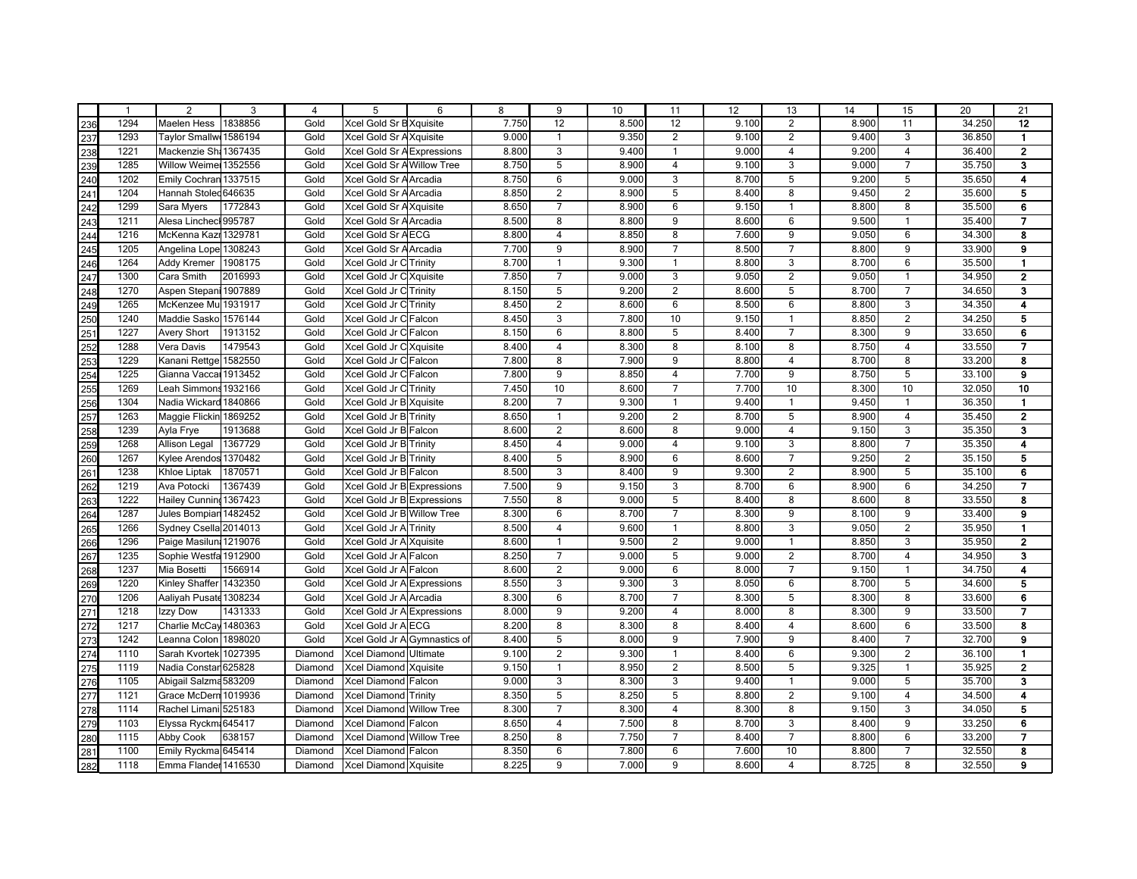| $\mathbf{1}$ | $\overline{2}$         | 3       | 4       | 5                            | 6 | 8     | 9              | 10    | 11                      | 12    | 13             | 14    | 15                      | 20     | 21                      |
|--------------|------------------------|---------|---------|------------------------------|---|-------|----------------|-------|-------------------------|-------|----------------|-------|-------------------------|--------|-------------------------|
| 1294         | <b>Maelen Hess</b>     | 1838856 | Gold    | Xcel Gold Sr B Xquisite      |   | 7.750 | 12             | 8.500 | 12                      | 9.100 | $\overline{2}$ | 8.900 | 11                      | 34.250 | 12                      |
| 1293         | <b>Taylor Smallw</b>   | 1586194 | Gold    | Xcel Gold Sr AXquisite       |   | 9.000 | $\mathbf{1}$   | 9.350 | $\overline{2}$          | 9.100 | $\overline{2}$ | 9.400 | 3                       | 36.850 | $\mathbf{1}$            |
| 1221         | Mackenzie Sh. 1367435  |         | Gold    | Xcel Gold Sr A Expressions   |   | 8.800 | 3              | 9.400 | $\overline{1}$          | 9.000 | $\overline{4}$ | 9.200 | $\overline{4}$          | 36.400 | $\mathbf{2}$            |
| 1285         | Willow Weime 1352556   |         | Gold    | Xcel Gold Sr A Willow Tree   |   | 8.750 | 5              | 8.900 | $\overline{4}$          | 9.100 | 3              | 9.000 | $\overline{7}$          | 35.750 | 3                       |
| 1202         | Emily Cochran 1337515  |         | Gold    | Xcel Gold Sr A Arcadia       |   | 8.750 | 6              | 9.000 | 3                       | 8.700 | 5              | 9.200 | 5                       | 35.650 | 4                       |
| 1204         | Hannah Stoled 646635   |         | Gold    | Xcel Gold Sr A Arcadia       |   | 8.850 | 2              | 8.900 | 5                       | 8.400 | 8              | 9.450 | $\overline{2}$          | 35.600 | 5                       |
| 1299         | Sara Myers             | 1772843 | Gold    | Xcel Gold Sr A Xquisite      |   | 8.650 | $\overline{7}$ | 8.900 | 6                       | 9.150 | $\mathbf{1}$   | 8.800 | 8                       | 35.500 | 6                       |
| 1211         | Alesa Linchecl 995787  |         | Gold    | Xcel Gold Sr A Arcadia       |   | 8.500 | 8              | 8.800 | 9                       | 8.600 | 6              | 9.500 | $\mathbf{1}$            | 35.400 | $\overline{7}$          |
| 1216         | McKenna Kazı 1329781   |         | Gold    | Xcel Gold Sr AECG            |   | 8.800 | $\overline{4}$ | 8.850 | 8                       | 7.600 | 9              | 9.050 | 6                       | 34.300 | 8                       |
| 1205         | Angelina Lope 1308243  |         | Gold    | Xcel Gold Sr A Arcadia       |   | 7.700 | 9              | 8.900 | $\overline{7}$          | 8.500 | $\overline{7}$ | 8.800 | 9                       | 33.900 | $\mathbf{9}$            |
| 1264         | Addy Kremer            | 1908175 | Gold    | Xcel Gold Jr C Trinity       |   | 8.700 | $\mathbf{1}$   | 9.300 | $\overline{1}$          | 8.800 | 3              | 8.700 | 6                       | 35.500 | $\mathbf{1}$            |
| 1300         | Cara Smith             | 2016993 | Gold    | Xcel Gold Jr C Xquisite      |   | 7.850 | $\overline{7}$ | 9.000 | 3                       | 9.050 | 2              | 9.050 | 1                       | 34.950 | $\overline{2}$          |
| 1270         | Aspen Stepani 1907889  |         | Gold    | Xcel Gold Jr C Trinity       |   | 8.150 | 5              | 9.200 | $\overline{c}$          | 8.600 | 5              | 8.700 | $\overline{7}$          | 34.650 | 3                       |
| 1265         | McKenzee Mu 1931917    |         | Gold    | Xcel Gold Jr C Trinity       |   | 8.450 | $\overline{2}$ | 8.600 | 6                       | 8.500 | $\,6\,$        | 8.800 | 3                       | 34.350 | 4                       |
| 1240         | Maddie Sasko 1576144   |         | Gold    | Xcel Gold Jr C Falcon        |   | 8.450 | 3              | 7.800 | 10                      | 9.150 | $\mathbf{1}$   | 8.850 | $\overline{\mathbf{c}}$ | 34.250 | 5                       |
| 1227         | <b>Avery Short</b>     | 1913152 | Gold    | Xcel Gold Jr C Falcon        |   | 8.150 | 6              | 8.800 | 5                       | 8.400 | $\overline{7}$ | 8.300 | 9                       | 33.650 | 6                       |
| 1288         | Vera Davis             | 1479543 | Gold    | Xcel Gold Jr C Xquisite      |   | 8.400 | $\overline{4}$ | 8.300 | 8                       | 8.100 | 8              | 8.750 | $\overline{4}$          | 33.550 | $\overline{7}$          |
| 1229         | Kanani Rettge          | 1582550 | Gold    | Xcel Gold Jr C Falcon        |   | 7.800 | 8              | 7.900 | 9                       | 8.800 | $\overline{4}$ | 8.700 | 8                       | 33.200 | 8                       |
| 1225         | Gianna Vacca           | 1913452 | Gold    | Xcel Gold Jr C Falcon        |   | 7.800 | 9              | 8.850 | $\overline{4}$          | 7.700 | $\overline{9}$ | 8.750 | $\overline{5}$          | 33.100 | $\bf{9}$                |
| 1269         | Leah Simmons 1932166   |         | Gold    | Xcel Gold Jr C Trinity       |   | 7.450 | 10             | 8.600 | $\overline{7}$          | 7.700 | 10             | 8.300 | 10                      | 32.050 | 10                      |
| 1304         | Nadia Wickard          | 1840866 | Gold    | Xcel Gold Jr B Xquisite      |   | 8.200 | $\overline{7}$ | 9.300 | $\overline{1}$          | 9.400 | $\mathbf{1}$   | 9.450 | $\mathbf{1}$            | 36.350 | $\mathbf{1}$            |
| 1263         | Maggie Flickin 1869252 |         | Gold    | Xcel Gold Jr B Trinity       |   | 8.650 | $\mathbf{1}$   | 9.200 | $\overline{2}$          | 8.700 | 5              | 8.900 | $\overline{4}$          | 35.450 | $\mathbf{2}$            |
| 1239         | Ayla Frye              | 1913688 | Gold    | Xcel Gold Jr B Falcon        |   | 8.600 | $\overline{2}$ | 8.600 | 8                       | 9.000 | $\overline{4}$ | 9.150 | 3                       | 35.350 | $\mathbf{3}$            |
| 1268         | Allison Legal          | 1367729 | Gold    | Xcel Gold Jr B Trinity       |   | 8.450 | $\overline{4}$ | 9.000 | $\overline{4}$          | 9.100 | 3              | 8.800 | $\overline{7}$          | 35.350 | $\overline{\mathbf{4}}$ |
| 1267         | Kylee Arendos 1370482  |         | Gold    | Xcel Gold Jr B Trinity       |   | 8.400 | 5              | 8.900 | 6                       | 8.600 | $\overline{7}$ | 9.250 | $\overline{\mathbf{c}}$ | 35.150 | 5                       |
| 1238         | Khloe Liptak           | 1870571 | Gold    | Xcel Gold Jr B Falcon        |   | 8.500 | 3              | 8.400 | 9                       | 9.300 | $\overline{2}$ | 8.900 | 5                       | 35.100 | 6                       |
| 1219         | Ava Potocki            | 1367439 | Gold    | Xcel Gold Jr B Expressions   |   | 7.500 | 9              | 9.150 | 3                       | 8.700 | $\,6\,$        | 8.900 | 6                       | 34.250 | $\overline{7}$          |
| 1222         | <b>Hailey Cunning</b>  | 1367423 | Gold    | Xcel Gold Jr B Expressions   |   | 7.550 | 8              | 9.000 | 5                       | 8.400 | 8              | 8.600 | 8                       | 33.550 | 8                       |
| 1287         | Jules Bompiar 1482452  |         | Gold    | Xcel Gold Jr B Willow Tree   |   | 8.300 | 6              | 8.700 | $\overline{7}$          | 8.300 | 9              | 8.100 | 9                       | 33.400 | $\mathbf{9}$            |
| 1266         | Sydney Csella 2014013  |         | Gold    | Xcel Gold Jr A Trinity       |   | 8.500 | $\overline{4}$ | 9.600 | $\mathbf{1}$            | 8.800 | 3              | 9.050 | $\overline{2}$          | 35.950 | $\blacksquare$          |
| 1296         | Paige Masilun 1219076  |         | Gold    | Xcel Gold Jr A Xquisite      |   | 8.600 | $\mathbf{1}$   | 9.500 | $\overline{2}$          | 9.000 | $\mathbf{1}$   | 8.850 | 3                       | 35.950 | $\mathbf{2}$            |
| 1235         | Sophie Westfa 1912900  |         | Gold    | Xcel Gold Jr A Falcon        |   | 8.250 | $\overline{7}$ | 9.000 | $\overline{5}$          | 9.000 | $\overline{2}$ | 8.700 | $\overline{4}$          | 34.950 | $\mathbf{3}$            |
| 1237         | Mia Bosetti            | 1566914 | Gold    | Xcel Gold Jr A Falcon        |   | 8.600 | $\overline{2}$ | 9.000 | 6                       | 8.000 | $\overline{7}$ | 9.150 | $\mathbf{1}$            | 34.750 | $\overline{\mathbf{4}}$ |
| 1220         | Kinley Shaffer 1432350 |         | Gold    | Xcel Gold Jr A Expressions   |   | 8.550 | 3              | 9.300 | 3                       | 8.050 | 6              | 8.700 | 5                       | 34.600 | 5                       |
| 1206         | Aaliyah Pusate         | 1308234 | Gold    | Xcel Gold Jr A Arcadia       |   | 8.300 | 6              | 8.700 | $\overline{7}$          | 8.300 | 5              | 8.300 | 8                       | 33.600 | 6                       |
| 1218         | Izzy Dow               | 1431333 | Gold    | Xcel Gold Jr A Expressions   |   | 8.000 | 9              | 9.200 | $\overline{\mathbf{4}}$ | 8.000 | 8              | 8.300 | 9                       | 33.500 | $\overline{7}$          |
| 1217         | Charlie McCay 1480363  |         | Gold    | Xcel Gold Jr A ECG           |   | 8.200 | 8              | 8.300 | 8                       | 8.400 | $\overline{4}$ | 8.600 | 6                       | 33.500 | 8                       |
| 1242         | Leanna Colon           | 1898020 | Gold    | Xcel Gold Jr A Gymnastics of |   | 8.400 | 5              | 8.000 | 9                       | 7.900 | 9              | 8.400 | $\overline{7}$          | 32.700 | $\mathbf{9}$            |
| 1110         | Sarah Kvortek 1027395  |         | Diamond | Xcel Diamond Ultimate        |   | 9.100 | $\overline{2}$ | 9.300 | $\mathbf{1}$            | 8.400 | 6              | 9.300 | $\overline{2}$          | 36.100 | $\blacksquare$          |
| 1119         | Nadia Constar 625828   |         | Diamond | Xcel Diamond Xquisite        |   | 9.150 | $\mathbf{1}$   | 8.950 | $\overline{c}$          | 8.500 | 5              | 9.325 | $\mathbf{1}$            | 35.925 | $\overline{\mathbf{2}}$ |
| 1105         | Abigail Salzma 583209  |         | Diamond | Xcel Diamond Falcon          |   | 9.000 | 3              | 8.300 | 3                       | 9.400 | $\overline{1}$ | 9.000 | 5                       | 35.700 | 3                       |
| 1121         | Grace McDern 1019936   |         | Diamond | Xcel Diamond Trinity         |   | 8.350 | 5              | 8.250 | 5                       | 8.800 | $\overline{2}$ | 9.100 | $\overline{4}$          | 34.500 | $\overline{\mathbf{4}}$ |
| 1114         | Rachel Limani 525183   |         | Diamond | Xcel Diamond Willow Tree     |   | 8.300 | $\overline{7}$ | 8.300 | $\overline{4}$          | 8.300 | 8              | 9.150 | 3                       | 34.050 | 5                       |
| 1103         | Elyssa Ryckm 645417    |         | Diamond | Xcel Diamond Falcon          |   | 8.650 | $\overline{4}$ | 7.500 | 8                       | 8.700 | 3              | 8.400 | $\overline{9}$          | 33.250 | 6                       |
| 1115         | Abby Cook              | 638157  | Diamond | Xcel Diamond Willow Tree     |   | 8.250 | 8              | 7.750 | $\overline{7}$          | 8.400 | $\overline{7}$ | 8.800 | $\overline{6}$          | 33.200 | $\overline{7}$          |
| 1100         | Emily Ryckma 645414    |         | Diamond | Xcel Diamond Falcon          |   | 8.350 | 6              | 7.800 | $6\overline{6}$         | 7.600 | 10             | 8.800 | $\overline{7}$          | 32.550 | $\overline{\mathbf{8}}$ |
| 1118         | Emma Flander 1416530   |         | Diamond | Xcel Diamond Xquisite        |   | 8.225 | 9              | 7.000 | 9                       | 8.600 | $\overline{4}$ | 8.725 | 8                       | 32.550 | $\mathbf{9}$            |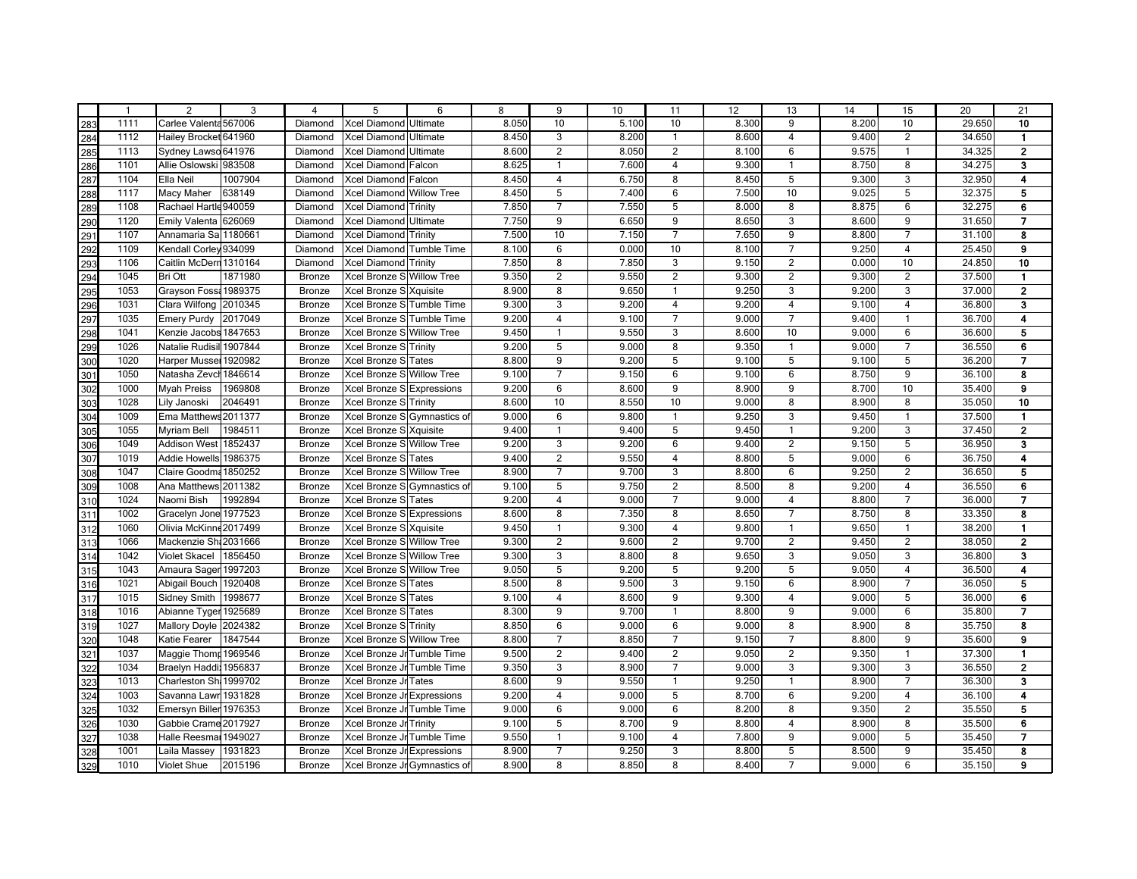|                                                                                                                                                                                                                                  | $\mathbf{1}$ | $\overline{2}$         | 3       | 4             | 5                            | 6 | 8     | 9              | 10    | 11             | 12    | 13             | 14    | 15                      | 20     | 21                      |
|----------------------------------------------------------------------------------------------------------------------------------------------------------------------------------------------------------------------------------|--------------|------------------------|---------|---------------|------------------------------|---|-------|----------------|-------|----------------|-------|----------------|-------|-------------------------|--------|-------------------------|
|                                                                                                                                                                                                                                  | 1111         | Carlee Valenta 567006  |         | Diamond       | Xcel Diamond Ultimate        |   | 8.050 | 10             | 5.100 | 10             | 8.300 | 9              | 8.200 | 10                      | 29.650 | 10                      |
|                                                                                                                                                                                                                                  | 1112         | Hailey Brocket 641960  |         | Diamond       | <b>Xcel Diamond Ultimate</b> |   | 8.450 | 3              | 8.200 | $\overline{1}$ | 8.600 | $\overline{4}$ | 9.400 | $\overline{2}$          | 34.650 | $\mathbf{1}$            |
|                                                                                                                                                                                                                                  | 1113         | Sydney Lawso 641976    |         | Diamond       | <b>Xcel Diamond Ultimate</b> |   | 8.600 | $\overline{2}$ | 8.050 | $\overline{2}$ | 8.100 | 6              | 9.575 | 1                       | 34.325 | $\mathbf{2}$            |
|                                                                                                                                                                                                                                  | 1101         | Allie Oslowski 983508  |         | Diamond       | Xcel Diamond Falcon          |   | 8.625 | $\mathbf{1}$   | 7.600 | $\overline{4}$ | 9.300 | $\mathbf{1}$   | 8.750 | 8                       | 34.275 | 3                       |
|                                                                                                                                                                                                                                  | 1104         | Ella Neil              | 1007904 | Diamond       | Xcel Diamond Falcon          |   | 8.450 | $\overline{4}$ | 6.750 | 8              | 8.450 | 5              | 9.300 | 3                       | 32.950 | 4                       |
|                                                                                                                                                                                                                                  | 1117         | <b>Macy Maher</b>      | 638149  | Diamond       | Xcel Diamond Willow Tree     |   | 8.450 | 5              | 7.400 | 6              | 7.500 | 10             | 9.025 | 5                       | 32.375 | 5                       |
|                                                                                                                                                                                                                                  | 1108         | Rachael Hartle 940059  |         | Diamond       | <b>Xcel Diamond Trinity</b>  |   | 7.850 | $\overline{7}$ | 7.550 | 5              | 8.000 | 8              | 8.875 | 6                       | 32.275 | 6                       |
|                                                                                                                                                                                                                                  | 1120         | Emily Valenta 626069   |         | Diamond       | Xcel Diamond Ultimate        |   | 7.750 | 9              | 6.650 | 9              | 8.650 | 3              | 8.600 | 9                       | 31.650 | $\overline{7}$          |
|                                                                                                                                                                                                                                  | 1107         | Annamaria Sa 1180661   |         | Diamond       | Xcel Diamond Trinity         |   | 7.500 | 10             | 7.150 | $\overline{7}$ | 7.650 | 9              | 8.800 | $\overline{7}$          | 31.100 | 8                       |
|                                                                                                                                                                                                                                  | 1109         | Kendall Corley 934099  |         | Diamond       | Xcel Diamond Tumble Time     |   | 8.100 | 6              | 0.000 | 10             | 8.100 | $\overline{7}$ | 9.250 | $\overline{4}$          | 25.450 | $\mathbf{9}$            |
|                                                                                                                                                                                                                                  | 1106         | Caitlin McDern 1310164 |         | Diamond       | Xcel Diamond Trinity         |   | 7.850 | 8              | 7.850 | 3              | 9.150 | 2              | 0.000 | 10                      | 24.850 | 10                      |
|                                                                                                                                                                                                                                  | 1045         | Bri Ott                | 1871980 | <b>Bronze</b> | Xcel Bronze S Willow Tree    |   | 9.350 | $\overline{2}$ | 9.550 | $\overline{c}$ | 9.300 | 2              | 9.300 | $\overline{2}$          | 37.500 | $\mathbf{1}$            |
|                                                                                                                                                                                                                                  | 1053         | Grayson Foss: 1989375  |         | Bronze        | Xcel Bronze S Xquisite       |   | 8.900 | 8              | 9.650 | $\overline{1}$ | 9.250 | 3              | 9.200 | 3                       | 37.000 | $\mathbf{2}$            |
|                                                                                                                                                                                                                                  | 1031         | Clara Wilfong 2010345  |         | Bronze        | Xcel Bronze S Tumble Time    |   | 9.300 | 3              | 9.200 | $\overline{4}$ | 9.200 | $\overline{4}$ | 9.100 | 4                       | 36.800 | 3                       |
|                                                                                                                                                                                                                                  | 1035         | <b>Emery Purdy</b>     | 2017049 | Bronze        | Xcel Bronze S Tumble Time    |   | 9.200 | $\overline{4}$ | 9.100 | $\overline{7}$ | 9.000 | $\overline{7}$ | 9.400 | 1                       | 36.700 | 4                       |
|                                                                                                                                                                                                                                  | 1041         | Kenzie Jacobs 1847653  |         | Bronze        | Xcel Bronze S Willow Tree    |   | 9.450 | $\mathbf{1}$   | 9.550 | 3              | 8.600 | 10             | 9.000 | 6                       | 36.600 | 5                       |
|                                                                                                                                                                                                                                  | 1026         | Natalie Rudisil        | 1907844 | Bronze        | Xcel Bronze S Trinity        |   | 9.200 | 5              | 9.000 | 8              | 9.350 | $\mathbf{1}$   | 9.000 | $\overline{7}$          | 36.550 | 6                       |
|                                                                                                                                                                                                                                  | 1020         | Harper Mussel 1920982  |         | Bronze        | Xcel Bronze S Tates          |   | 8.800 | 9              | 9.200 | 5              | 9.100 | 5              | 9.100 | 5                       | 36.200 | $\overline{\mathbf{z}}$ |
|                                                                                                                                                                                                                                  | 1050         | Natasha Zevch          | 1846614 | Bronze        | Xcel Bronze S Willow Tree    |   | 9.100 | $\overline{7}$ | 9.150 | 6              | 9.100 | 6              | 8.750 | $\overline{9}$          | 36.100 | 8                       |
|                                                                                                                                                                                                                                  | 1000         | <b>Myah Preiss</b>     | 1969808 | Bronze        | Xcel Bronze S Expressions    |   | 9.200 | 6              | 8.600 | 9              | 8.900 | $\overline{9}$ | 8.700 | 10                      | 35.400 | $\bf{9}$                |
|                                                                                                                                                                                                                                  | 1028         | Lily Janoski           | 2046491 | Bronze        | Xcel Bronze S Trinity        |   | 8.600 | 10             | 8.550 | 10             | 9.000 | 8              | 8.900 | 8                       | 35.050 | 10                      |
|                                                                                                                                                                                                                                  | 1009         | Ema Matthews 2011377   |         | <b>Bronze</b> | Xcel Bronze S Gymnastics of  |   | 9.000 | 6              | 9.800 | $\overline{1}$ | 9.250 | 3              | 9.450 | $\mathbf{1}$            | 37.500 | $\mathbf{1}$            |
|                                                                                                                                                                                                                                  | 1055         | <b>Myriam Bell</b>     | 1984511 | Bronze        | Xcel Bronze S Xquisite       |   | 9.400 | $\mathbf{1}$   | 9.400 | 5              | 9.450 | $\mathbf{1}$   | 9.200 | 3                       | 37.450 | $\bf 2$                 |
|                                                                                                                                                                                                                                  | 1049         | <b>Addison West</b>    | 1852437 | Bronze        | Xcel Bronze S Willow Tree    |   | 9.200 | 3              | 9.200 | 6              | 9.400 | $\overline{2}$ | 9.150 | 5                       | 36.950 | 3                       |
|                                                                                                                                                                                                                                  | 1019         | Addie Howells          | 1986375 | Bronze        | Xcel Bronze STates           |   | 9.400 | $\overline{2}$ | 9.550 | $\overline{4}$ | 8.800 | 5              | 9.000 | 6                       | 36.750 | 4                       |
|                                                                                                                                                                                                                                  | 1047         | Claire Goodma          | 1850252 | Bronze        | Xcel Bronze S Willow Tree    |   | 8.900 | $\overline{7}$ | 9.700 | 3              | 8.800 | 6              | 9.250 | $\overline{2}$          | 36.650 | 5                       |
|                                                                                                                                                                                                                                  | 1008         | Ana Matthews 2011382   |         | Bronze        | Xcel Bronze S Gymnastics of  |   | 9.100 | 5              | 9.750 | $\overline{2}$ | 8.500 | 8              | 9.200 | $\overline{4}$          | 36.550 | 6                       |
|                                                                                                                                                                                                                                  | 1024         | Naomi Bish             | 1992894 | Bronze        | Xcel Bronze STates           |   | 9.200 | $\overline{4}$ | 9.000 | $\overline{7}$ | 9.000 | $\overline{4}$ | 8.800 | $\overline{7}$          | 36.000 | $\overline{7}$          |
|                                                                                                                                                                                                                                  | 1002         | Gracelyn Jone 1977523  |         | Bronze        | Xcel Bronze S Expressions    |   | 8.600 | 8              | 7.350 | 8              | 8.650 | $\overline{7}$ | 8.750 | 8                       | 33.350 | 8                       |
|                                                                                                                                                                                                                                  | 1060         | Olivia McKinne 2017499 |         | Bronze        | Xcel Bronze S Xquisite       |   | 9.450 | $\mathbf{1}$   | 9.300 | $\overline{4}$ | 9.800 | $\mathbf{1}$   | 9.650 | $\mathbf{1}$            | 38.200 | 1                       |
|                                                                                                                                                                                                                                  | 1066         | Mackenzie Sh: 2031666  |         | <b>Bronze</b> | Xcel Bronze S Willow Tree    |   | 9.300 | $\overline{2}$ | 9.600 | $\overline{2}$ | 9.700 | $\overline{2}$ | 9.450 | $\overline{2}$          | 38.050 | $\mathbf{2}$            |
|                                                                                                                                                                                                                                  | 1042         | Violet Skacel          | 1856450 | Bronze        | Xcel Bronze S Willow Tree    |   | 9.300 | 3              | 8.800 | 8              | 9.650 | $\overline{3}$ | 9.050 | $\overline{3}$          | 36.800 | $\mathbf{3}$            |
|                                                                                                                                                                                                                                  | 1043         | Amaura Sager 1997203   |         | Bronze        | Xcel Bronze S Willow Tree    |   | 9.050 | $\overline{5}$ | 9.200 | 5              | 9.200 | $\overline{5}$ | 9.050 | $\overline{4}$          | 36.500 | $\overline{\mathbf{4}}$ |
|                                                                                                                                                                                                                                  | 1021         | Abigail Bouch          | 1920408 | Bronze        | Xcel Bronze STates           |   | 8.500 | 8              | 9.500 | 3              | 9.150 | 6              | 8.900 | $\overline{7}$          | 36.050 | 5                       |
|                                                                                                                                                                                                                                  | 1015         | <b>Sidney Smith</b>    | 1998677 | Bronze        | Xcel Bronze STates           |   | 9.100 | $\overline{4}$ | 8.600 | 9              | 9.300 | $\overline{4}$ | 9.000 | 5                       | 36.000 | 6                       |
|                                                                                                                                                                                                                                  | 1016         | Abianne Tyger 1925689  |         | Bronze        | Xcel Bronze S Tates          |   | 8.300 | 9              | 9.700 | $\overline{1}$ | 8.800 | 9              | 9.000 | 6                       | 35.800 | $\overline{7}$          |
|                                                                                                                                                                                                                                  | 1027         | <b>Mallory Doyle</b>   | 2024382 | Bronze        | Xcel Bronze S Trinity        |   | 8.850 | 6              | 9.000 | 6              | 9.000 | 8              | 8.900 | 8                       | 35.750 | 8                       |
|                                                                                                                                                                                                                                  | 1048         | <b>Katie Fearer</b>    | 1847544 | Bronze        | Xcel Bronze S Willow Tree    |   | 8.800 | $\overline{7}$ | 8.850 | $\overline{7}$ | 9.150 | $\overline{7}$ | 8.800 | 9                       | 35.600 | 9                       |
|                                                                                                                                                                                                                                  | 1037         | Maggie Thom: 1969546   |         | Bronze        | Xcel Bronze Jr Tumble Time   |   | 9.500 | $\overline{2}$ | 9.400 | $\overline{c}$ | 9.050 | $\overline{2}$ | 9.350 | $\mathbf{1}$            | 37.300 | $\mathbf{1}$            |
|                                                                                                                                                                                                                                  | 1034         | Braelyn Haddi 1956837  |         | Bronze        | Xcel Bronze Jr Tumble Time   |   | 9.350 | 3              | 8.900 | $\overline{7}$ | 9.000 | $\mathbf{3}$   | 9.300 | 3                       | 36.550 | $\bf 2$                 |
|                                                                                                                                                                                                                                  | 1013         | Charleston Sh 1999702  |         | Bronze        | Xcel Bronze Jr Tates         |   | 8.600 | 9              | 9.550 | $\overline{1}$ | 9.250 | $\overline{1}$ | 8.900 | $\overline{7}$          | 36.300 | 3                       |
|                                                                                                                                                                                                                                  | 1003         | Savanna Lawr 1931828   |         | Bronze        | Xcel Bronze Jr Expressions   |   | 9.200 | $\overline{4}$ | 9.000 | 5              | 8.700 | 6              | 9.200 | $\overline{4}$          | 36.100 | $\overline{\mathbf{4}}$ |
|                                                                                                                                                                                                                                  | 1032         | Emersyn Biller 1976353 |         | Bronze        | Xcel Bronze Jr Tumble Time   |   | 9.000 | 6              | 9.000 | 6              | 8.200 | 8              | 9.350 | $\overline{\mathbf{c}}$ | 35.550 | 5                       |
|                                                                                                                                                                                                                                  | 1030         | Gabbie Crame 2017927   |         | Bronze        | Xcel Bronze Jr Trinity       |   | 9.100 | 5              | 8.700 | 9              | 8.800 | $\overline{4}$ | 8.900 | 8                       | 35.500 | 6                       |
|                                                                                                                                                                                                                                  | 1038         | Halle Reesmal 1949027  |         | Bronze        | Xcel Bronze Jr Tumble Time   |   | 9.550 | $\mathbf{1}$   | 9.100 | $\overline{4}$ | 7.800 | $\overline{9}$ | 9.000 | 5                       | 35.450 | $\overline{7}$          |
|                                                                                                                                                                                                                                  | 1001         | Laila Massey           | 1931823 | Bronze        | Xcel Bronze Jr Expressions   |   | 8.900 | $\overline{7}$ | 9.250 | $\overline{3}$ | 8.800 | 5              | 8.500 | 9                       | 35.450 | $\overline{\mathbf{8}}$ |
| es a lor de lor de lor de lor de lor de lor de lor de lor de lor de lor de lor de lor de lor de lor de lor de lo<br>Lor de lor de lor de lor de lor de lor de lor de lor de lor de lor de lor de lor de lor de lor de lor de lor | 1010         | Violet Shue            | 2015196 | Bronze        | Xcel Bronze Jr Gymnastics of |   | 8.900 | 8              | 8.850 | 8              | 8.400 | $\overline{7}$ | 9.000 | 6                       | 35.150 | $\mathbf{9}$            |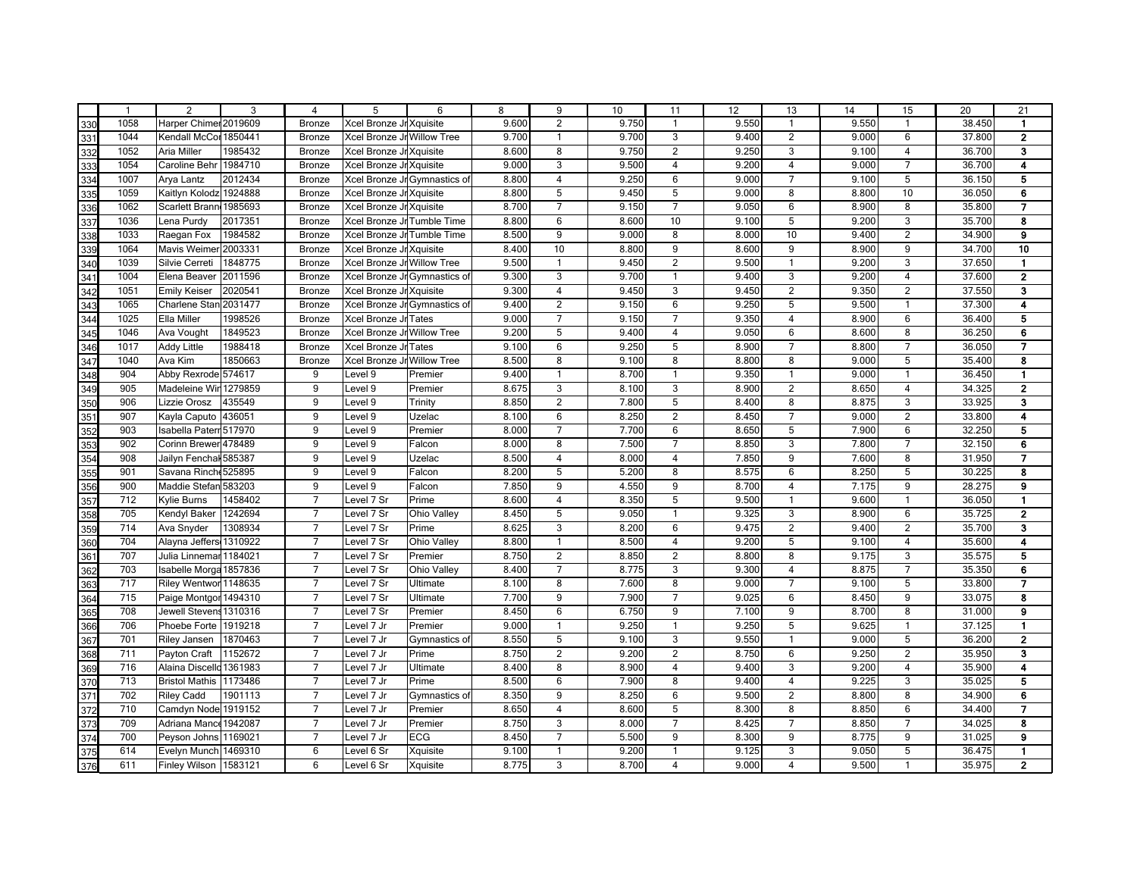|     | $\overline{1}$ | 2                       | 3       | 4               | 5                          | 6                            | 8     | 9              | 10    | 11                      | 12 <sup>2</sup> | 13                      | 14    | 15                      | 20     | 21                       |
|-----|----------------|-------------------------|---------|-----------------|----------------------------|------------------------------|-------|----------------|-------|-------------------------|-----------------|-------------------------|-------|-------------------------|--------|--------------------------|
| 330 | 1058           | Harper Chimer 2019609   |         | <b>Bronze</b>   | Xcel Bronze Jr Xquisite    |                              | 9.600 | 2              | 9.750 | $\mathbf{1}$            | 9.550           | $\overline{1}$          | 9.550 | $\mathbf{1}$            | 38.450 | $\mathbf{1}$             |
| 331 | 1044           | Kendall McCor           | 1850441 | <b>Bronze</b>   | Xcel Bronze Jr Willow Tree |                              | 9.700 | $\mathbf{1}$   | 9.700 | 3                       | 9.400           | 2                       | 9.000 | 6                       | 37.800 | $\overline{2}$           |
| 332 | 1052           | Aria Miller             | 1985432 | <b>Bronze</b>   | Xcel Bronze Jr Xquisite    |                              | 8.600 | 8              | 9.750 | $\overline{2}$          | 9.250           | 3                       | 9.100 | $\overline{4}$          | 36.700 | 3                        |
| 333 | 1054           | Caroline Beh            | 1984710 | <b>Bronze</b>   | Xcel Bronze Jr Xquisite    |                              | 9.000 | 3              | 9.500 | $\overline{4}$          | 9.200           | $\overline{4}$          | 9.000 | $\overline{7}$          | 36.700 | 4                        |
| 334 | 1007           | Arya Lantz              | 2012434 | <b>Bronze</b>   |                            | Xcel Bronze Jr Gymnastics of | 8.800 | $\overline{4}$ | 9.250 | 6                       | 9.000           | $\overline{7}$          | 9.100 | 5                       | 36.150 | 5                        |
| 335 | 1059           | Kaitlyn Kolodz 1924888  |         | <b>Bronze</b>   | Xcel Bronze Jr Xquisite    |                              | 8.800 | 5              | 9.450 | 5                       | 9.000           | 8                       | 8.800 | 10                      | 36.050 | 6                        |
| 336 | 1062           | Scarlett Branı          | 1985693 | <b>Bronze</b>   | Xcel Bronze Jr Xquisite    |                              | 8.700 | $\overline{7}$ | 9.150 | $\overline{7}$          | 9.050           | $6\phantom{1}6$         | 8.900 | 8                       | 35.800 | $\overline{7}$           |
| 337 | 1036           | Lena Purdy              | 2017351 | <b>Bronze</b>   | Xcel Bronze Jr Tumble Time |                              | 8.800 | 6              | 8.600 | 10                      | 9.100           | 5                       | 9.200 | 3                       | 35.700 | 8                        |
| 338 | 1033           | Raegan Fox              | 1984582 | <b>Bronze</b>   | Xcel Bronze Jr Tumble Time |                              | 8.500 | 9              | 9.000 | 8                       | 8.000           | 10                      | 9.400 | $\overline{2}$          | 34.900 | 9                        |
| 339 | 1064           | <b>Mavis Weimer</b>     | 2003331 | Bronze          | Xcel Bronze Jr Xquisite    |                              | 8.400 | 10             | 8.800 | 9                       | 8.600           | 9                       | 8.900 | 9                       | 34.700 | 10                       |
| 340 | 1039           | Silvie Cerreti          | 1848775 | <b>Bronze</b>   | Xcel Bronze Jr Willow Tree |                              | 9.500 | $\mathbf{1}$   | 9.450 | $\overline{2}$          | 9.500           | $\overline{1}$          | 9.200 | 3                       | 37.650 | $\mathbf{1}$             |
| 341 | 1004           | Elena Beaver            | 2011596 | Bronze          |                            | Xcel Bronze Jr Gymnastics of | 9.300 | 3              | 9.700 | $\mathbf{1}$            | 9.400           | 3                       | 9.200 | $\overline{4}$          | 37.600 | $\overline{\mathbf{2}}$  |
| 342 | 1051           | <b>Emily Keiser</b>     | 2020541 | <b>Bronze</b>   | Xcel Bronze Jr Xquisite    |                              | 9.300 | $\overline{4}$ | 9.450 | 3                       | 9.450           | $\overline{2}$          | 9.350 | $\overline{c}$          | 37.550 | 3                        |
| 343 | 1065           | Charlene Stan 2031477   |         | <b>Bronze</b>   |                            | Xcel Bronze Jr Gymnastics of | 9.400 | $\overline{2}$ | 9.150 | 6                       | 9.250           | 5                       | 9.500 | $\mathbf{1}$            | 37.300 | 4                        |
| 344 | 1025           | Ella Miller             | 1998526 | Bronze          | Xcel Bronze Jr Tates       |                              | 9.000 | $\overline{7}$ | 9.150 | $\overline{7}$          | 9.350           | $\overline{4}$          | 8.900 | 6                       | 36.400 | 5                        |
| 345 | 1046           | Ava Vought              | 1849523 | <b>Bronze</b>   | Xcel Bronze Jr Willow Tree |                              | 9.200 | 5              | 9.400 | $\overline{4}$          | 9.050           | 6                       | 8.600 | 8                       | 36.250 | 6                        |
| 346 | 1017           | <b>Addy Little</b>      | 1988418 | Bronze          | Xcel Bronze Jr Tates       |                              | 9.100 | 6              | 9.250 | 5                       | 8.900           | $\overline{7}$          | 8.800 | $\overline{7}$          | 36.050 | $\overline{\phantom{a}}$ |
| 347 | 1040           | Ava Kim                 | 1850663 | Bronze          | Xcel Bronze Jr Willow Tree |                              | 8.500 | 8              | 9.100 | 8                       | 8.800           | 8                       | 9.000 | 5                       | 35.400 | 8                        |
| 348 | 904            | Abby Rexrode 574617     |         | 9               | Level 9                    | Premier                      | 9.400 | $\mathbf{1}$   | 8.700 | $\mathbf{1}$            | 9.350           | $\overline{1}$          | 9.000 | $\mathbf{1}$            | 36.450 | $\mathbf{1}$             |
| 349 | 905            | Madeleine Wir 1279859   |         | 9               | Level 9                    | Premier                      | 8.675 | 3              | 8.100 | 3                       | 8.900           | 2                       | 8.650 | $\overline{4}$          | 34.325 | $\overline{2}$           |
| 350 | 906            | Lizzie Orosz            | 435549  | 9               | Level 9                    | Trinity                      | 8.850 | $\overline{2}$ | 7.800 | 5                       | 8.400           | 8                       | 8.875 | 3                       | 33.925 | 3                        |
| 351 | 907            | Kayla Caputo            | 436051  | 9               | Level 9                    | Uzelac                       | 8.100 | 6              | 8.250 | $\overline{2}$          | 8.450           | $\overline{7}$          | 9.000 | $\overline{2}$          | 33.800 | 4                        |
| 352 | 903            | Isabella Paterr 517970  |         | 9               | Level 9                    | Premier                      | 8.000 | $\overline{7}$ | 7.700 | 6                       | 8.650           | 5                       | 7.900 | 6                       | 32.250 | 5                        |
| 353 | 902            | Corinn Brewer 478489    |         | 9               | Level 9                    | Falcon                       | 8.000 | 8              | 7.500 | $\overline{7}$          | 8.850           | 3                       | 7.800 | $\overline{7}$          | 32.150 | 6                        |
| 354 | 908            | Jailyn Fenchal 585387   |         | 9               | Level 9                    | Uzelac                       | 8.500 | $\overline{4}$ | 8.000 | $\overline{4}$          | 7.850           | 9                       | 7.600 | 8                       | 31.950 | $\overline{7}$           |
| 355 | 901            | Savana Rinch 525895     |         | 9               | Level 9                    | Falcon                       | 8.200 | 5              | 5.200 | 8                       | 8.575           | 6                       | 8.250 | 5                       | 30.225 | 8                        |
| 356 | 900            | Maddie Stefan 583203    |         | 9               | Level 9                    | Falcon                       | 7.850 | 9              | 4.550 | 9                       | 8.700           | $\overline{4}$          | 7.175 | 9                       | 28.275 | 9                        |
| 357 | 712            | Kylie Burns             | 1458402 | $\overline{7}$  | Level 7 Sr                 | Prime                        | 8.600 | $\overline{4}$ | 8.350 | 5                       | 9.500           | $\overline{1}$          | 9.600 | $\mathbf{1}$            | 36.050 | $\blacksquare$           |
| 358 | 705            | Kendyl Baker            | 1242694 | $\overline{7}$  | Level 7 Sr                 | Ohio Valley                  | 8.450 | 5              | 9.050 | $\mathbf{1}$            | 9.325           | 3                       | 8.900 | 6                       | 35.725 | $\mathbf{2}$             |
| 359 | 714            | Ava Snyder              | 1308934 | $\overline{7}$  | Level 7 Sr                 | Prime                        | 8.625 | 3              | 8.200 | 6                       | 9.475           | $\overline{2}$          | 9.400 | $\overline{2}$          | 35.700 | 3                        |
| 360 | 704            | Alayna Jeffers 1310922  |         | $\overline{7}$  | Level 7 Sr                 | Ohio Valley                  | 8.800 | $\mathbf{1}$   | 8.500 | $\overline{4}$          | 9.200           | 5                       | 9.100 | $\overline{\mathbf{4}}$ | 35.600 | 4                        |
| 361 | 707            | Julia Linnemar 1184021  |         | $\overline{7}$  | Level 7 Sr                 | Premier                      | 8.750 | $\overline{2}$ | 8.850 | $\overline{2}$          | 8.800           | 8                       | 9.175 | 3                       | 35.575 | 5                        |
| 362 | 703            | Isabelle Morga 1857836  |         | $\overline{7}$  | Level 7 Sr                 | Ohio Valley                  | 8.400 | $\overline{7}$ | 8.775 | 3                       | 9.300           | $\overline{4}$          | 8.875 | $\overline{7}$          | 35.350 | 6                        |
| 363 | 717            | Riley Wentworl 1148635  |         | $\overline{7}$  | Level 7 Sr                 | Ultimate                     | 8.100 | 8              | 7.600 | 8                       | 9.000           | $\overline{7}$          | 9.100 | 5                       | 33.800 | 7                        |
| 364 | 715            | Paige Montgor 1494310   |         | $\overline{7}$  | Level 7 Sr                 | Ultimate                     | 7.700 | 9              | 7.900 | $\overline{7}$          | 9.025           | 6                       | 8.450 | 9                       | 33.075 | 8                        |
| 365 | 708            | Jewell Stevens 1310316  |         | $\overline{7}$  | Level 7 Sr                 | Premier                      | 8.450 | 6              | 6.750 | 9                       | 7.100           | $\overline{9}$          | 8.700 | 8                       | 31.000 | 9                        |
| 366 | 706            | Phoebe Forte            | 1919218 | $\overline{7}$  | Level 7 Jr                 | Premier                      | 9.000 | $\mathbf{1}$   | 9.250 | $\mathbf{1}$            | 9.250           | 5                       | 9.625 | $\mathbf{1}$            | 37.125 | $\mathbf{1}$             |
| 367 | 701            | <b>Riley Jansen</b>     | 1870463 | $\overline{7}$  | Level 7 Jr                 | Gymnastics of                | 8.550 | 5              | 9.100 | 3                       | 9.550           | $\overline{1}$          | 9.000 | 5                       | 36.200 | $\mathbf{2}$             |
| 368 | 711            | Payton Craft            | 1152672 | $\overline{7}$  | Level 7 Jr                 | Prime                        | 8.750 | $\overline{2}$ | 9.200 | $\overline{c}$          | 8.750           | 6                       | 9.250 | $\overline{2}$          | 35.950 | 3                        |
| 369 | 716            | Alaina Discello 1361983 |         | $\overline{7}$  | Level 7 Jr                 | Ultimate                     | 8.400 | 8              | 8.900 | $\overline{\mathbf{4}}$ | 9.400           | $\overline{3}$          | 9.200 | $\overline{4}$          | 35.900 | 4                        |
| 370 | 713            | <b>Bristol Mathis</b>   | 1173486 | $\overline{7}$  | Level 7 Jr                 | Prime                        | 8.500 | 6              | 7.900 | 8                       | 9.400           | $\overline{4}$          | 9.225 | 3                       | 35.025 | 5                        |
| 371 | 702            | <b>Riley Cadd</b>       | 1901113 | $\overline{7}$  | Level 7 Jr                 | Gymnastics of                | 8.350 | 9              | 8.250 | 6                       | 9.500           | 2                       | 8.800 | 8                       | 34.900 | 6                        |
| 372 | 710            | Camdyn Node 1919152     |         | $\overline{7}$  | Level 7 Jr                 | Premier                      | 8.650 | $\overline{4}$ | 8.600 | 5                       | 8.300           | $\overline{\mathbf{8}}$ | 8.850 | 6                       | 34.400 | $\overline{7}$           |
| 373 | 709            | Adriana Mance           | 1942087 | $\overline{7}$  | Level 7 Jr                 | Premier                      | 8.750 | $\overline{3}$ | 8.000 | $\overline{7}$          | 8.425           | $\overline{7}$          | 8.850 | $\overline{7}$          | 34.025 | $\overline{\mathbf{8}}$  |
| 374 | 700            | Peyson Johns 1169021    |         | $\overline{7}$  | Level 7 Jr                 | ECG                          | 8.450 | $\overline{7}$ | 5.500 | $\overline{9}$          | 8.300           | $\overline{9}$          | 8.775 | $\overline{9}$          | 31.025 | $\overline{9}$           |
| 375 | 614            | Evelyn Munch            | 1469310 | 6               | Level 6 Sr                 | Xquisite                     | 9.100 | $\mathbf{1}$   | 9.200 | $\mathbf{1}$            | 9.125           | $\overline{3}$          | 9.050 | 5                       | 36.475 | $\blacksquare$           |
| 376 | 611            | Finley Wilson   1583121 |         | $6\overline{6}$ | Level 6 Sr                 | Xquisite                     | 8.775 | $\overline{3}$ | 8.700 | 4                       | 9.000           | $\overline{4}$          | 9.500 | $\mathbf{1}$            | 35.975 | $\overline{2}$           |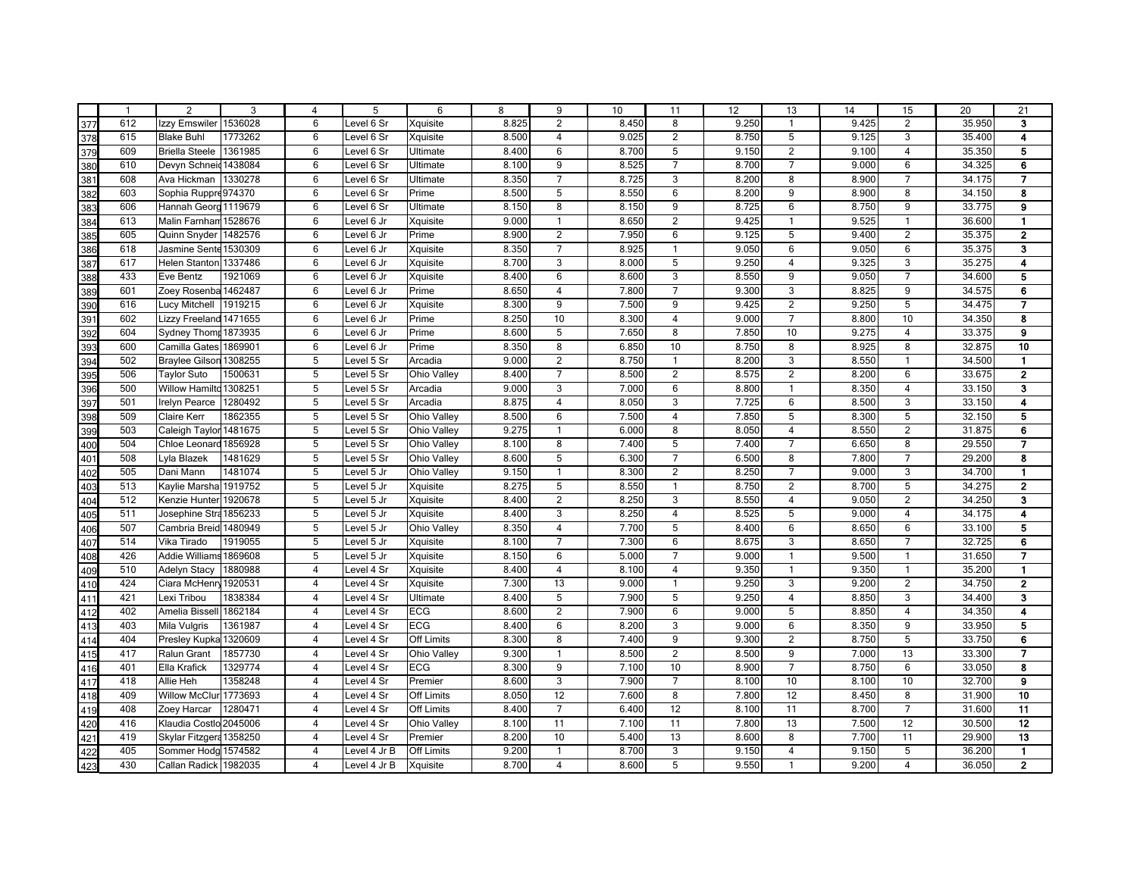|     | $\overline{1}$ | 2                       | 3       | 4                       | 5            | 6                 | 8     | 9                       | 10    | 11             | 12 <sup>2</sup> | 13                      | 14    | 15                      | 20     | 21                      |
|-----|----------------|-------------------------|---------|-------------------------|--------------|-------------------|-------|-------------------------|-------|----------------|-----------------|-------------------------|-------|-------------------------|--------|-------------------------|
| 377 | 612            | Izzy Emswiler           | 1536028 | $6\phantom{1}6$         | Level 6 Sr   | Xquisite          | 8.825 | 2                       | 8.450 | 8              | 9.250           | $\overline{\mathbf{1}}$ | 9.425 | $\overline{2}$          | 35.950 | 3                       |
| 378 | 615            | <b>Blake Buhl</b>       | 1773262 | 6                       | Level 6 Sr   | Xquisite          | 8.500 | $\overline{4}$          | 9.025 | $\overline{2}$ | 8.750           | 5                       | 9.125 | 3                       | 35.400 | 4                       |
| 379 | 609            | <b>Briella Steele</b>   | 1361985 | 6                       | Level 6 Sr   | Ultimate          | 8.400 | 6                       | 8.700 | 5              | 9.150           | 2                       | 9.100 | $\overline{4}$          | 35.350 | 5                       |
| 380 | 610            | Devyn Schneid 1438084   |         | $6\phantom{1}6$         | Level 6 Sr   | Ultimate          | 8.100 | 9                       | 8.525 | $\overline{7}$ | 8.700           | $\overline{7}$          | 9.000 | 6                       | 34.325 | 6                       |
| 381 | 608            | Ava Hickman             | 1330278 | $6\phantom{1}6$         | Level 6 Sr   | Ultimate          | 8.350 | $\overline{7}$          | 8.725 | 3              | 8.200           | 8                       | 8.900 | $\overline{7}$          | 34.175 | $\overline{\mathbf{z}}$ |
| 382 | 603            | Sophia Ruppre 974370    |         | $6\phantom{1}6$         | Level 6 Sr   | Prime             | 8.500 | 5                       | 8.550 | 6              | 8.200           | 9                       | 8.900 | 8                       | 34.150 | 8                       |
| 383 | 606            | Hannah Geord 1119679    |         | 6                       | Level 6 Sr   | Ultimate          | 8.150 | 8                       | 8.150 | 9              | 8.725           | $6\phantom{1}6$         | 8.750 | 9                       | 33.775 | 9                       |
| 384 | 613            | Malin Farnham 1528676   |         | 6                       | Level 6 Jr   | Xquisite          | 9.000 | $\mathbf{1}$            | 8.650 | $\overline{2}$ | 9.425           | $\overline{1}$          | 9.525 | $\mathbf{1}$            | 36.600 | $\mathbf{1}$            |
| 385 | 605            | Quinn Snyder            | 1482576 | 6                       | Level 6 Jr   | Prime             | 8.900 | $\overline{2}$          | 7.950 | 6              | 9.125           | 5                       | 9.400 | $\overline{2}$          | 35.375 | $\mathbf{2}$            |
| 386 | 618            | Jasmine Sente           | 1530309 | 6                       | Level 6 Jr   | Xquisite          | 8.350 | $\overline{7}$          | 8.925 | $\mathbf{1}$   | 9.050           | $6\phantom{1}6$         | 9.050 | 6                       | 35.375 | $\overline{\mathbf{3}}$ |
| 387 | 617            | Helen Stanton 1337486   |         | 6                       | Level 6 Jr   | Xquisite          | 8.700 | 3                       | 8.000 | 5              | 9.250           | $\overline{4}$          | 9.325 | 3                       | 35.275 | 4                       |
| 388 | 433            | Eve Bentz               | 1921069 | 6                       | Level 6 Jr   | Xquisite          | 8.400 | 6                       | 8.600 | 3              | 8.550           | 9                       | 9.050 | $\overline{7}$          | 34.600 | 5                       |
| 389 | 601            | Zoey Rosenba            | 1462487 | $\,6$                   | Level 6 Jr   | Prime             | 8.650 | $\overline{4}$          | 7.800 | $\overline{7}$ | 9.300           | 3                       | 8.825 | 9                       | 34.575 | 6                       |
| 390 | 616            | Lucy Mitchell           | 1919215 | 6                       | Level 6 Jr   | Xquisite          | 8.300 | 9                       | 7.500 | 9              | 9.425           | $\overline{2}$          | 9.250 | 5                       | 34.475 | 7                       |
| 391 | 602            | Lizzy Freeland 1471655  |         | 6                       | Level 6 Jr   | Prime             | 8.250 | 10                      | 8.300 | $\overline{4}$ | 9.000           | $\overline{7}$          | 8.800 | 10                      | 34.350 | 8                       |
| 392 | 604            | Sydney Thomr 1873935    |         | $6\phantom{1}6$         | Level 6 Jr   | Prime             | 8.600 | 5                       | 7.650 | 8              | 7.850           | 10                      | 9.275 | $\overline{\mathbf{4}}$ | 33.375 | 9                       |
| 393 | 600            | Camilla Gates           | 1869901 | 6                       | Level 6 Jr   | Prime             | 8.350 | 8                       | 6.850 | 10             | 8.750           | 8                       | 8.925 | 8                       | 32.875 | 10                      |
| 394 | 502            | Braylee Gilson 1308255  |         | 5                       | Level 5 Sr   | Arcadia           | 9.000 | $\overline{2}$          | 8.750 | $\mathbf{1}$   | 8.200           | 3                       | 8.550 | $\mathbf{1}$            | 34.500 | $\mathbf{1}$            |
| 395 | 506            | <b>Taylor Suto</b>      | 1500631 | $\overline{5}$          | Level 5 Sr   | Ohio Valley       | 8.400 | $\overline{7}$          | 8.500 | $\overline{2}$ | 8.575           | $\overline{2}$          | 8.200 | 6                       | 33.675 | $\overline{2}$          |
| 396 | 500            | Willow Hamilto 1308251  |         | $\overline{5}$          | Level 5 Sr   | Arcadia           | 9.000 | 3                       | 7.000 | 6              | 8.800           | $\overline{1}$          | 8.350 | $\overline{4}$          | 33.150 | 3                       |
| 397 | 501            | <b>Irelyn Pearce</b>    | 1280492 | 5                       | Level 5 Sr   | Arcadia           | 8.875 | $\overline{\mathbf{4}}$ | 8.050 | 3              | 7.725           | $6\phantom{1}6$         | 8.500 | 3                       | 33.150 | 4                       |
| 398 | 509            | Claire Kerr             | 1862355 | 5                       | Level 5 Sr   | Ohio Valley       | 8.500 | 6                       | 7.500 | 4              | 7.850           | 5                       | 8.300 | 5                       | 32.150 | 5                       |
| 399 | 503            | Caleigh Taylor 1481675  |         | 5                       | Level 5 Sr   | Ohio Valley       | 9.275 | $\mathbf{1}$            | 6.000 | 8              | 8.050           | $\overline{4}$          | 8.550 | $\overline{2}$          | 31.875 | 6                       |
| 400 | 504            | Chloe Leonard 1856928   |         | 5                       | Level 5 Sr   | Ohio Valley       | 8.100 | 8                       | 7.400 | 5              | 7.400           | $\overline{7}$          | 6.650 | 8                       | 29.550 | $\overline{7}$          |
| 401 | 508            | Lyla Blazek             | 1481629 | 5                       | Level 5 Sr   | Ohio Valley       | 8.600 | 5                       | 6.300 | $\overline{7}$ | 6.500           | 8                       | 7.800 | $\overline{7}$          | 29.200 | 8                       |
| 402 | 505            | Dani Mann               | 1481074 | 5                       | Level 5 Jr   | Ohio Valley       | 9.150 | $\mathbf{1}$            | 8.300 | $\overline{2}$ | 8.250           | $\overline{7}$          | 9.000 | 3                       | 34.700 | $\blacksquare$          |
| 403 | 513            | Kaylie Marsha 1919752   |         | 5                       | Level 5 Jr   | Xquisite          | 8.275 | 5                       | 8.550 | $\mathbf{1}$   | 8.750           | 2                       | 8.700 | 5                       | 34.275 | $\mathbf 2$             |
| 404 | 512            | Kenzie Hunter           | 1920678 | 5                       | Level 5 Jr   | Xquisite          | 8.400 | $\overline{2}$          | 8.250 | 3              | 8.550           | $\overline{4}$          | 9.050 | $\overline{c}$          | 34.250 | 3                       |
| 405 | 511            | Josephine Stra 1856233  |         | 5                       | Level 5 Jr   | Xquisite          | 8.400 | 3                       | 8.250 | $\overline{4}$ | 8.525           | 5                       | 9.000 | $\overline{4}$          | 34.175 | 4                       |
| 406 | 507            | Cambria Breid           | 1480949 | 5                       | Level 5 Jr   | Ohio Valley       | 8.350 | $\overline{4}$          | 7.700 | 5              | 8.400           | $6\phantom{1}6$         | 8.650 | 6                       | 33.100 | 5                       |
| 407 | 514            | Vika Tirado             | 1919055 | 5                       | Level 5 Jr   | Xquisite          | 8.100 | $\overline{7}$          | 7.300 | 6              | 8.675           | 3                       | 8.650 | $\overline{7}$          | 32.725 | 6                       |
| 408 | 426            | Addie Williams 1869608  |         | $\overline{5}$          | Level 5 Jr   | Xquisite          | 8.150 | 6                       | 5.000 | $\overline{7}$ | 9.000           | $\overline{1}$          | 9.500 | $\mathbf{1}$            | 31.650 | 7                       |
| 409 | 510            | <b>Adelyn Stacy</b>     | 1880988 | $\overline{4}$          | Level 4 Sr   | Xquisite          | 8.400 | $\overline{4}$          | 8.100 | $\overline{4}$ | 9.350           | $\overline{1}$          | 9.350 | $\mathbf{1}$            | 35.200 | $\mathbf{1}$            |
| 410 | 424            | Ciara McHenry 1920531   |         | $\overline{4}$          | Level 4 Sr   | Xquisite          | 7.300 | 13                      | 9.000 | $\mathbf{1}$   | 9.250           | 3                       | 9.200 | $\overline{c}$          | 34.750 | $\mathbf 2$             |
| 411 | 421            | Lexi Tribou             | 1838384 | $\overline{4}$          | Level 4 Sr   | Ultimate          | 8.400 | 5                       | 7.900 | 5              | 9.250           | $\overline{4}$          | 8.850 | 3                       | 34.400 | 3                       |
| 412 | 402            | Amelia Bisse            | 1862184 | $\overline{4}$          | Level 4 Sr   | <b>ECG</b>        | 8.600 | $\overline{2}$          | 7.900 | 6              | 9.000           | 5                       | 8.850 | $\overline{4}$          | 34.350 | 4                       |
| 413 | 403            | Mila Vulgris            | 1361987 | $\overline{\mathbf{4}}$ | Level 4 Sr   | ECG               | 8.400 | 6                       | 8.200 | 3              | 9.000           | $6\phantom{1}6$         | 8.350 | 9                       | 33.950 | 5                       |
| 414 | 404            | Presley Kupka 1320609   |         | $\overline{4}$          | Level 4 Sr   | Off Limits        | 8.300 | 8                       | 7.400 | 9              | 9.300           | $\overline{2}$          | 8.750 | 5                       | 33.750 | 6                       |
| 415 | 417            | Ralun Grant             | 1857730 | $\overline{\mathbf{4}}$ | Level 4 Sr   | Ohio Valley       | 9.300 | $\mathbf{1}$            | 8.500 | $\overline{2}$ | 8.500           | 9                       | 7.000 | 13                      | 33.300 | 7                       |
| 416 | 401            | Ella Krafick            | 1329774 | $\overline{4}$          | Level 4 Sr   | <b>ECG</b>        | 8.300 | 9                       | 7.100 | 10             | 8.900           | $\overline{7}$          | 8.750 | $\,6\,$                 | 33.050 | 8                       |
| 417 | 418            | Allie Heh               | 1358248 | $\overline{\mathbf{4}}$ | Level 4 Sr   | Premier           | 8.600 | 3                       | 7.900 | $\overline{7}$ | 8.100           | 10                      | 8.100 | 10                      | 32.700 | $\overline{9}$          |
| 418 | 409            | Willow McClur 1773693   |         | $\overline{4}$          | Level 4 Sr   | <b>Off Limits</b> | 8.050 | 12                      | 7.600 | 8              | 7.800           | 12                      | 8.450 | 8                       | 31.900 | 10                      |
| 419 | 408            | Zoey Harcar             | 1280471 | $\overline{4}$          | Level 4 Sr   | <b>Off Limits</b> | 8.400 | $\overline{7}$          | 6.400 | 12             | 8.100           | 11                      | 8.700 | $\overline{7}$          | 31.600 | 11                      |
| 420 | 416            | Klaudia Costlo 2045006  |         | $\overline{4}$          | Level 4 Sr   | Ohio Valley       | 8.100 | 11                      | 7.100 | 11             | 7.800           | 13                      | 7.500 | 12                      | 30.500 | 12                      |
| 421 | 419            | Skylar Fitzgera 1358250 |         | $\overline{4}$          | Level 4 Sr   | Premier           | 8.200 | 10                      | 5.400 | 13             | 8.600           | $\overline{8}$          | 7.700 | 11                      | 29.900 | 13                      |
| 422 | 405            | Sommer Hodg 1574582     |         | $\overline{4}$          | Level 4 Jr B | <b>Off Limits</b> | 9.200 | $\mathbf{1}$            | 8.700 | $\overline{3}$ | 9.150           | $\overline{4}$          | 9.150 | 5                       | 36.200 | $\blacksquare$          |
| 423 | 430            | Callan Radick 1982035   |         | $\overline{4}$          | Level 4 Jr B | Xquisite          | 8.700 | $\overline{4}$          | 8.600 | 5              | 9.550           | $\overline{1}$          | 9.200 | $\overline{4}$          | 36.050 | $\overline{2}$          |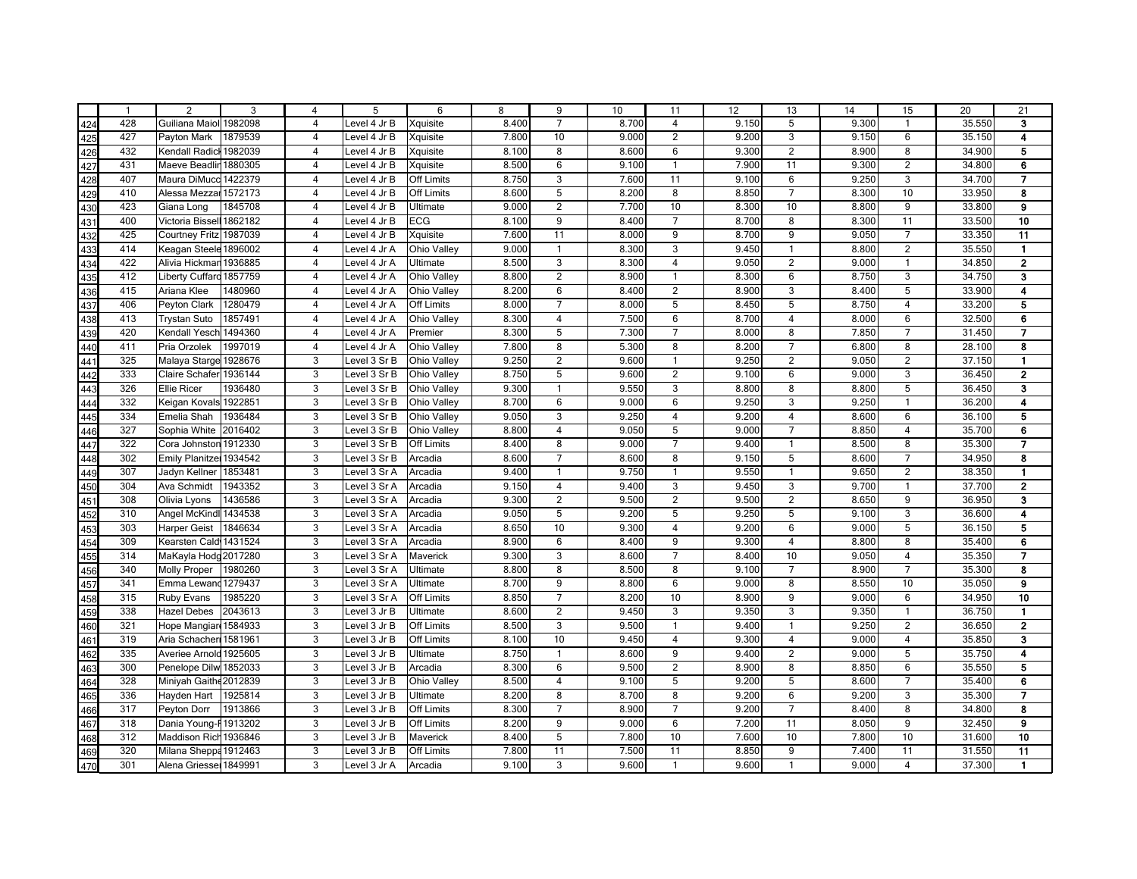|     | $\overline{1}$ | $\overline{2}$         | 3                  | $\overline{4}$          | 5            | 6                 | 8              | 9                       | 10             | 11                  | 12             | 13                  | 14             | 15                               | 20               | 21                               |
|-----|----------------|------------------------|--------------------|-------------------------|--------------|-------------------|----------------|-------------------------|----------------|---------------------|----------------|---------------------|----------------|----------------------------------|------------------|----------------------------------|
| 424 | 428            | Guiliana Maiol 1982098 |                    | $\overline{4}$          | Level 4 Jr B | Xquisite          | 8.400          | $\overline{7}$          | 8.700          | $\overline{4}$      | 9.150          | 5                   | 9.300          | $\mathbf{1}$                     | 35.550           | 3                                |
| 425 | 427            | Payton Mark            | 1879539            | $\overline{4}$          | Level 4 Jr B | Xquisite          | 7.800          | 10                      | 9.000          | $\overline{2}$      | 9.200          | 3                   | 9.150          | 6                                | 35.150           | 4                                |
| 426 | 432            | Kendall Radicl         | 1982039            | 4                       | Level 4 Jr B | Xquisite          | 8.100          | 8                       | 8.600          | 6                   | 9.300          | $\overline{2}$      | 8.900          | 8                                | 34.900           | 5                                |
| 427 | 431            | Maeve Beadlir 1880305  |                    | $\overline{\mathbf{4}}$ | Level 4 Jr B | Xquisite          | 8.500          | 6                       | 9.100          | $\mathbf{1}$        | 7.900          | 11                  | 9.300          | $\overline{c}$                   | 34.800           | 6                                |
| 428 | 407            | Maura DiMucc 1422379   |                    | $\overline{\mathbf{4}}$ | Level 4 Jr B | <b>Off Limits</b> | 8.750          | 3                       | 7.600          | 11                  | 9.100          | 6                   | 9.250          | 3                                | 34.700           | $\overline{\mathbf{z}}$          |
| 429 | 410            | Alessa Mezzar 1572173  |                    | $\overline{4}$          | Level 4 Jr B | <b>Off Limits</b> | 8.600          | 5                       | 8.200          | 8                   | 8.850          | $\overline{7}$      | 8.300          | 10                               | 33.950           | 8                                |
| 430 | 423            | Giana Long             | 1845708            | $\overline{4}$          | Level 4 Jr B | Ultimate          | 9.000          | $\overline{2}$          | 7.700          | 10                  | 8.300          | 10                  | 8.800          | 9                                | 33.800           | 9                                |
| 431 | 400            | Victoria Bissell       | 1862182            | $\overline{\mathbf{4}}$ | Level 4 Jr B | <b>ECG</b>        | 8.100          | 9                       | 8.400          | $\overline{7}$      | 8.700          | $\overline{8}$      | 8.300          | 11                               | 33.500           | 10                               |
| 432 | 425            | Courtney Fritz 1987039 |                    | $\overline{4}$          | Level 4 Jr B | Xquisite          | 7.600          | 11                      | 8.000          | $\overline{9}$      | 8.700          | 9                   | 9.050          | $\overline{7}$                   | 33.350           | 11                               |
| 433 | 414            | Keagan Steele 1896002  |                    | $\overline{\mathbf{4}}$ | Level 4 Jr A | Ohio Valley       | 9.000          | $\mathbf{1}$            | 8.300          | 3                   | 9.450          | $\overline{1}$      | 8.800          | $\overline{c}$                   | 35.550           | $\mathbf{1}$                     |
| 434 | 422            | Alivia Hickmar 1936885 |                    | $\overline{4}$          | Level 4 Jr A | Ultimate          | 8.500          | 3                       | 8.300          | $\overline{4}$      | 9.050          | 2                   | 9.000          | $\mathbf{1}$                     | 34.850           | $\overline{2}$                   |
| 435 | 412            | <b>Liberty Cuffard</b> | 1857759            | $\overline{\mathbf{4}}$ | Level 4 Jr A | Ohio Valley       | 8.800          | $\overline{2}$          | 8.900          | $\overline{1}$      | 8.300          | $6\phantom{1}6$     | 8.750          | 3                                | 34.750           | 3                                |
| 436 | 415            | Ariana Klee            | 1480960            | $\overline{4}$          | Level 4 Jr A | Ohio Valley       | 8.200          | 6                       | 8.400          | $\overline{c}$      | 8.900          | 3                   | 8.400          | 5                                | 33.900           | 4                                |
| 437 | 406            | Peyton Clark           | 1280479            | $\overline{4}$          | Level 4 Jr A | <b>Off Limits</b> | 8.000          | $\overline{7}$          | 8.000          | 5                   | 8.450          | 5                   | 8.750          | $\overline{4}$                   | 33.200           | 5                                |
| 438 | 413            | <b>Trystan Suto</b>    | 1857491            | $\overline{4}$          | Level 4 Jr A | Ohio Valley       | 8.300          | $\overline{4}$          | 7.500          | 6                   | 8.700          | $\overline{4}$      | 8.000          | 6                                | 32.500           | 6                                |
| 439 | 420            | Kendall Yesch 1494360  |                    | $\overline{4}$          | Level 4 Jr A | Premier           | 8.300          | 5                       | 7.300          | $\overline{7}$      | 8.000          | 8                   | 7.850          | $\overline{7}$                   | 31.450           | $\overline{7}$                   |
| 440 | 411            | Pria Orzolek           | 1997019            | $\overline{4}$          | Level 4 Jr A | Ohio Valley       | 7.800          | 8                       | 5.300          | 8                   | 8.200          | $\overline{7}$      | 6.800          | 8                                | 28.100           | 8                                |
| 441 | 325            | Malaya Starge 1928676  |                    | 3                       | Level 3 Sr B | Ohio Valley       | 9.250          | $\overline{2}$          | 9.600          | $\mathbf{1}$        | 9.250          | $\overline{2}$      | 9.050          | $\overline{2}$                   | 37.150           | $\blacksquare$                   |
| 442 | 333            | Claire Schafer         | 1936144            | $\overline{3}$          | Level 3 Sr B | Ohio Valley       | 8.750          | $\overline{5}$          | 9.600          | $\overline{2}$      | 9.100          | 6                   | 9.000          | $\overline{3}$                   | 36.450           | $\overline{2}$                   |
| 443 | 326            | <b>Ellie Ricer</b>     | 1936480            | $\overline{3}$          | Level 3 Sr B | Ohio Valley       | 9.300          | $\mathbf{1}$            | 9.550          | $\overline{3}$      | 8.800          | $\overline{8}$      | 8.800          | $\overline{5}$                   | 36.450           | $\overline{\mathbf{3}}$          |
| 444 | 332            | Keigan Kovals 1922851  |                    | 3                       | Level 3 Sr B | Ohio Valley       | 8.700          | 6                       | 9.000          | 6                   | 9.250          | $\overline{3}$      | 9.250          | $\mathbf{1}$                     | 36.200           | 4                                |
| 445 | 334            | Emelia Shah            | 1936484            | $\overline{3}$          | Level 3 Sr B | Ohio Valley       | 9.050          | $\overline{3}$          | 9.250          | $\overline{4}$      | 9.200          | $\overline{4}$      | 8.600          | 6                                | 36.100           | 5                                |
| 446 | 327            | Sophia White           | 2016402            | 3                       | Level 3 Sr B | Ohio Valley       | 8.800          | 4                       | 9.050          | 5                   | 9.000          | $\overline{7}$      | 8.850          | $\overline{4}$                   | 35.700           | 6                                |
| 447 | 322            | Cora Johnston 1912330  |                    | 3                       | Level 3 Sr B | <b>Off Limits</b> | 8.400          | 8                       | 9.000          | $\overline{7}$      | 9.400          | $\overline{1}$      | 8.500          | 8                                | 35.300           | $\overline{7}$                   |
| 448 | 302            | Emily Planitze 1934542 |                    | 3                       | Level 3 Sr B | Arcadia           | 8.600          | $\overline{7}$          | 8.600          | 8                   | 9.150          | 5                   | 8.600          | $\overline{7}$                   | 34.950           | 8                                |
| 449 | 307            | Jadyn Kellner          | 1853481            | 3                       | Level 3 Sr A | Arcadia           | 9.400          | $\mathbf{1}$            | 9.750          | $\mathbf{1}$        | 9.550          | $\overline{1}$      | 9.650          | $\overline{2}$                   | 38.350           | $\blacksquare$                   |
| 450 | 304            | Ava Schmidt            | 1943352            | 3                       | Level 3 Sr A | Arcadia           | 9.150          | $\overline{4}$          | 9.400          | 3                   | 9.450          | 3                   | 9.700          | $\mathbf{1}$                     | 37.700           | $\overline{\mathbf{2}}$          |
| 451 | 308            | Olivia Lyons           | 1436586            | 3                       | Level 3 Sr A | Arcadia           | 9.300          | 2                       | 9.500          | $\overline{2}$      | 9.500          | 2                   | 8.650          | 9                                | 36.950           | 3                                |
| 452 | 310            | Angel McKindl 1434538  |                    | 3                       | Level 3 Sr A | Arcadia           | 9.050          | 5                       | 9.200          | 5                   | 9.250          | 5                   | 9.100          | 3                                | 36.600           | 4                                |
| 453 | 303            | <b>Harper Geist</b>    | 1846634            | 3                       | Level 3 Sr A | Arcadia           | 8.650          | 10                      | 9.300          | $\overline{4}$      | 9.200          | $6\phantom{1}6$     | 9.000          | 5                                | 36.150           | 5                                |
| 454 | 309            | Kearsten Cald 1431524  |                    | 3                       | Level 3 Sr A | Arcadia           | 8.900          | 6                       | 8.400          | 9                   | 9.300          | $\overline{4}$      | 8.800          | 8                                | 35.400           | 6                                |
| 455 | 314            | MaKayla Hodg 2017280   |                    | 3                       | Level 3 Sr A | Maverick          | 9.300          | 3                       | 8.600          | $\overline{7}$      | 8.400          | 10                  | 9.050          | $\overline{4}$                   | 35.350           | 7                                |
| 456 | 340            | <b>Molly Proper</b>    | 1980260            | 3                       | Level 3 Sr A | Ultimate          | 8.800          | 8                       | 8.500          | 8                   | 9.100          | $\overline{7}$      | 8.900          | $\overline{7}$                   | 35.300           | 8                                |
| 457 | 341            | Emma Lewand 1279437    |                    | 3                       | Level 3 Sr A | Ultimate          | 8.700          | 9                       | 8.800          | 6                   | 9.000          | 8                   | 8.550          | 10                               | 35.050           | 9                                |
| 458 | 315            | <b>Ruby Evans</b>      | 1985220            | 3                       | Level 3 Sr A | <b>Off Limits</b> | 8.850          | $\overline{7}$          | 8.200          | 10                  | 8.900          | $\boldsymbol{9}$    | 9.000          | 6                                | 34.950           | 10                               |
| 459 | 338            | <b>Hazel Debes</b>     | 2043613            | 3                       | Level 3 Jr B | Ultimate          | 8.600          | $\overline{2}$<br>3     | 9.450          | 3<br>$\mathbf{1}$   | 9.350          | 3<br>$\overline{1}$ | 9.350          | $\mathbf{1}$                     | 36.750           | $\blacksquare$<br>$\overline{2}$ |
| 460 | 321            | Hope Mangiar           | 1584933            | 3                       | Level 3 Jr B | <b>Off Limits</b> | 8.500          | 10                      | 9.500          |                     | 9.400          |                     | 9.250          | $\overline{2}$<br>$\overline{4}$ | 36.650           |                                  |
| 461 | 319            | Aria Schacher          | 1581961            | 3                       | Level 3 Jr B | <b>Off Limits</b> | 8.100          | $\mathbf{1}$            | 9.450          | $\overline{4}$      | 9.300          | $\overline{4}$      | 9.000          |                                  | 35.850           | 3<br>4                           |
| 462 | 335            | Averiee Arnold 1925605 |                    | 3                       | Level 3 Jr B | Ultimate          | 8.750          |                         | 8.600          | 9                   | 9.400          | $\overline{2}$      | 9.000          | 5                                | 35.750           |                                  |
| 463 | 300            | Penelope Dilw 1852033  |                    | 3                       | Level 3 Jr B | Arcadia           | 8.300          | 6                       | 9.500          | $\overline{c}$      | 8.900          | 8                   | 8.850          | 6                                | 35.550           | 5                                |
| 464 | 328            | Miniyah Gaithe 2012839 |                    | 3                       | Level 3 Jr B | Ohio Valley       | 8.500          | $\overline{\mathbf{4}}$ | 9.100          | 5                   | 9.200          | 5                   | 8.600          | $\overline{7}$                   | 35.400           | 6                                |
| 465 | 336<br>317     | Hayden Hart            | 1925814<br>1913866 | 3<br>3                  | Level 3 Jr B | Ultimate          | 8.200<br>8.300 | 8<br>$\overline{7}$     | 8.700<br>8.900 | 8<br>$\overline{7}$ | 9.200<br>9.200 | 6<br>$\overline{7}$ | 9.200<br>8.400 | 3<br>8                           | 35.300<br>34.800 | $\overline{\mathbf{z}}$<br>8     |
| 466 | 318            | Peyton Dorr            |                    |                         | Level 3 Jr B | <b>Off Limits</b> | 8.200          | 9                       | 9.000          | 6                   | 7.200          | 11                  | 8.050          | 9                                |                  | 9                                |
| 467 |                | Dania Young-F 1913202  |                    | 3<br>$\overline{3}$     | Level 3 Jr B | <b>Off Limits</b> |                | $\overline{5}$          |                | 10                  | 7.600          | 10                  |                | 10                               | 32.450           |                                  |
| 468 | 312<br>320     | Maddison Rich 1936846  |                    | $\overline{3}$          | Level 3 Jr B | Maverick          | 8.400          | 11                      | 7.800          | 11                  | 8.850          | $\overline{9}$      | 7.800<br>7.400 | 11                               | 31.600           | 10                               |
| 469 |                | Milana Sheppa 1912463  |                    |                         | Level 3 Jr B | <b>Off Limits</b> | 7.800          |                         | 7.500          |                     |                |                     |                |                                  | 31.550           | 11                               |
| 470 | 301            | Alena Griesse 1849991  |                    | $\overline{3}$          | Level 3 Jr A | Arcadia           | 9.100          | 3                       | 9.600          | $\mathbf{1}$        | 9.600          | $\overline{1}$      | 9.000          | $\overline{4}$                   | 37.300           | $\blacksquare$                   |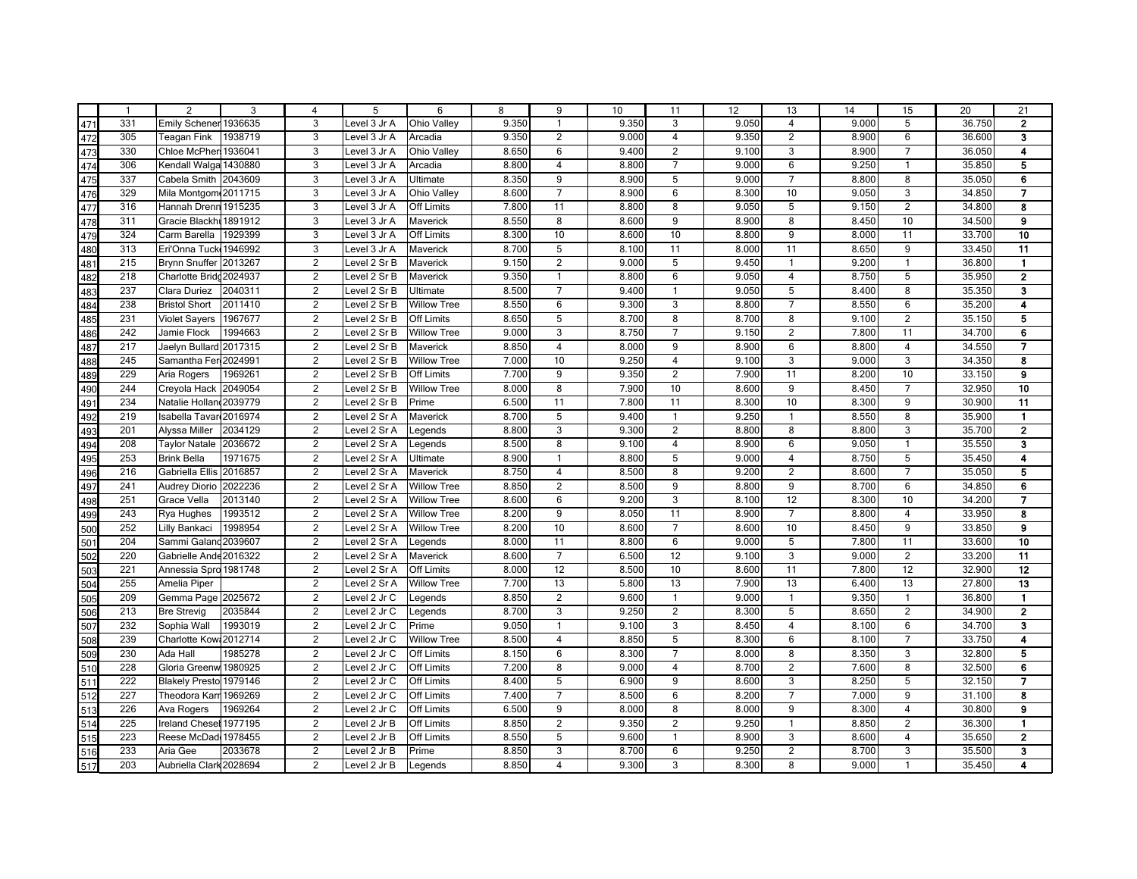|     | $\overline{1}$ | 2                       | 3       | $\overline{4}$ | 5            | 6                  | 8     | 9              | 10    | 11                      | 12    | 13                      | 14    | 15             | 20     | 21                       |
|-----|----------------|-------------------------|---------|----------------|--------------|--------------------|-------|----------------|-------|-------------------------|-------|-------------------------|-------|----------------|--------|--------------------------|
| 471 | 331            | Emily Schener 1936635   |         | 3              | Level 3 Jr A | Ohio Valley        | 9.350 | $\mathbf{1}$   | 9.350 | 3                       | 9.050 | $\overline{4}$          | 9.000 | 5              | 36.750 | $\mathbf{2}$             |
| 472 | 305            | Teagan Fink             | 1938719 | 3              | Level 3 Jr A | Arcadia            | 9.350 | $\overline{2}$ | 9.000 | $\overline{4}$          | 9.350 | 2                       | 8.900 | 6              | 36.600 | 3                        |
| 473 | 330            | Chloe McPher            | 1936041 | 3              | Level 3 Jr A | Ohio Valley        | 8.650 | 6              | 9.400 | $\overline{2}$          | 9.100 | 3                       | 8.900 | $\overline{7}$ | 36.050 | 4                        |
| 474 | 306            | Kendall Walga 1430880   |         | 3              | Level 3 Jr A | Arcadia            | 8.800 | $\overline{4}$ | 8.800 | $\overline{7}$          | 9.000 | 6                       | 9.250 | $\mathbf{1}$   | 35.850 | 5                        |
| 475 | 337            | Cabela Smith 2043609    |         | 3              | Level 3 Jr A | Ultimate           | 8.350 | 9              | 8.900 | 5                       | 9.000 | $\overline{7}$          | 8.800 | 8              | 35.050 | 6                        |
| 476 | 329            | Mila Montgom 2011715    |         | 3              | Level 3 Jr A | <b>Ohio Valley</b> | 8.600 | $\overline{7}$ | 8.900 | 6                       | 8.300 | 10                      | 9.050 | 3              | 34.850 | $\overline{7}$           |
| 477 | 316            | Hannah Drenn 1915235    |         | 3              | Level 3 Jr A | Off Limits         | 7.800 | 11             | 8.800 | 8                       | 9.050 | $\overline{5}$          | 9.150 | $\overline{2}$ | 34.800 | 8                        |
| 478 | 311            | Gracie Blackhi 1891912  |         | 3              | Level 3 Jr A | Maverick           | 8.550 | 8              | 8.600 | 9                       | 8.900 | 8                       | 8.450 | 10             | 34.500 | $\bf{9}$                 |
| 479 | 324            | Carm Barella            | 1929399 | $\overline{3}$ | Level 3 Jr A | <b>Off Limits</b>  | 8.300 | 10             | 8.600 | 10                      | 8.800 | $\overline{9}$          | 8.000 | 11             | 33.700 | 10                       |
| 480 | 313            | Eri'Onna Tuck 1946992   |         | 3              | Level 3 Jr A | Maverick           | 8.700 | 5              | 8.100 | 11                      | 8.000 | 11                      | 8.650 | 9              | 33.450 | 11                       |
| 481 | 215            | <b>Brynn Snuffer</b>    | 2013267 | $\overline{2}$ | Level 2 Sr B | Maverick           | 9.150 | $\overline{2}$ | 9.000 | 5                       | 9.450 | $\overline{1}$          | 9.200 | $\mathbf{1}$   | 36.800 | $\mathbf{1}$             |
| 482 | 218            | Charlotte Bridd 2024937 |         | $\overline{c}$ | Level 2 Sr B | Maverick           | 9.350 | $\mathbf{1}$   | 8.800 | 6                       | 9.050 | $\overline{4}$          | 8.750 | 5              | 35.950 | $\mathbf 2$              |
| 483 | 237            | Clara Duriez            | 2040311 | $\overline{2}$ | Level 2 Sr B | Ultimate           | 8.500 | $\overline{7}$ | 9.400 | $\mathbf{1}$            | 9.050 | 5                       | 8.400 | 8              | 35.350 | 3                        |
| 484 | 238            | <b>Bristol Short</b>    | 2011410 | $\overline{2}$ | Level 2 Sr B | <b>Willow Tree</b> | 8.550 | 6              | 9.300 | 3                       | 8.800 | $\overline{7}$          | 8.550 | 6              | 35.200 | 4                        |
| 485 | 231            | <b>Violet Sayers</b>    | 1967677 | $\overline{2}$ | Level 2 Sr B | Off Limits         | 8.650 | 5              | 8.700 | 8                       | 8.700 | 8                       | 9.100 | $\overline{c}$ | 35.150 | 5                        |
| 486 | 242            | Jamie Flock             | 1994663 | $\overline{2}$ | Level 2 Sr B | <b>Willow Tree</b> | 9.000 | 3              | 8.750 | $\overline{7}$          | 9.150 | $\overline{c}$          | 7.800 | 11             | 34.700 | 6                        |
| 487 | 217            | Jaelyn Bullard 2017315  |         | $\overline{2}$ | Level 2 Sr B | Maverick           | 8.850 | $\overline{4}$ | 8.000 | 9                       | 8.900 | $\,6\,$                 | 8.800 | $\overline{4}$ | 34.550 | $\overline{\phantom{a}}$ |
| 488 | 245            | Samantha Fer 2024991    |         | $\overline{2}$ | Level 2 Sr B | <b>Willow Tree</b> | 7.000 | 10             | 9.250 | $\overline{\mathbf{4}}$ | 9.100 | $\overline{3}$          | 9.000 | $\overline{3}$ | 34.350 | 8                        |
| 489 | 229            | Aria Rogers             | 1969261 | $\overline{2}$ | Level 2 Sr B | <b>Off Limits</b>  | 7.700 | 9              | 9.350 | $\overline{c}$          | 7.900 | 11                      | 8.200 | 10             | 33.150 | $\overline{9}$           |
| 490 | 244            | Creyola Hack            | 2049054 | $\overline{2}$ | Level 2 Sr B | <b>Willow Tree</b> | 8.000 | 8              | 7.900 | 10                      | 8.600 | $\overline{9}$          | 8.450 | $\overline{7}$ | 32.950 | 10                       |
| 491 | 234            | Natalie Hollan 2039779  |         | 2              | Level 2 Sr B | Prime              | 6.500 | 11             | 7.800 | 11                      | 8.300 | 10                      | 8.300 | 9              | 30.900 | 11                       |
| 492 | 219            | Isabella Tavar 2016974  |         | $\overline{2}$ | Level 2 Sr A | Maverick           | 8.700 | 5              | 9.400 | $\mathbf{1}$            | 9.250 | $\overline{1}$          | 8.550 | 8              | 35.900 | $\blacksquare$           |
| 493 | 201            | Alyssa Miller           | 2034129 | $\overline{2}$ | Level 2 Sr A | Legends            | 8.800 | 3              | 9.300 | $\overline{2}$          | 8.800 | 8                       | 8.800 | 3              | 35.700 | $\overline{2}$           |
| 494 | 208            | <b>Taylor Natale</b>    | 2036672 | $\overline{2}$ | Level 2 Sr A | Legends            | 8.500 | 8              | 9.100 | $\overline{4}$          | 8.900 | 6                       | 9.050 | $\mathbf{1}$   | 35.550 | 3                        |
| 495 | 253            | <b>Brink Bella</b>      | 1971675 | 2              | Level 2 Sr A | Ultimate           | 8.900 | $\mathbf{1}$   | 8.800 | 5                       | 9.000 | $\overline{\mathbf{4}}$ | 8.750 | 5              | 35.450 | 4                        |
| 496 | 216            | Gabriella Ellis 2016857 |         | $\overline{2}$ | Level 2 Sr A | Maverick           | 8.750 | $\overline{4}$ | 8.500 | 8                       | 9.200 | $\overline{2}$          | 8.600 | $\overline{7}$ | 35.050 | 5                        |
| 497 | 241            | <b>Audrey Diorio</b>    | 2022236 | $\overline{2}$ | Level 2 Sr A | <b>Willow Tree</b> | 8.850 | $\overline{2}$ | 8.500 | 9                       | 8.800 | 9                       | 8.700 | 6              | 34.850 | 6                        |
| 498 | 251            | Grace Vella             | 2013140 | $\overline{2}$ | Level 2 Sr A | <b>Willow Tree</b> | 8.600 | 6              | 9.200 | 3                       | 8.100 | 12                      | 8.300 | 10             | 34.200 | $\overline{7}$           |
| 499 | 243            | Rya Hughes              | 1993512 | $\overline{2}$ | Level 2 Sr A | <b>Willow Tree</b> | 8.200 | 9              | 8.050 | 11                      | 8.900 | $\overline{7}$          | 8.800 | $\overline{4}$ | 33.950 | 8                        |
| 500 | 252            | Lilly Bankaci           | 1998954 | $\overline{2}$ | Level 2 Sr A | <b>Willow Tree</b> | 8.200 | 10             | 8.600 | $\overline{7}$          | 8.600 | 10                      | 8.450 | 9              | 33.850 | 9                        |
| 501 | 204            | Sammi Galand 2039607    |         | $\overline{2}$ | Level 2 Sr A | Legends            | 8.000 | 11             | 8.800 | 6                       | 9.000 | $\overline{5}$          | 7.800 | 11             | 33.600 | 10                       |
| 502 | 220            | Gabrielle Ande 2016322  |         | $\overline{2}$ | Level 2 Sr A | Maverick           | 8.600 | $\overline{7}$ | 6.500 | 12                      | 9.100 | $\overline{3}$          | 9.000 | $\overline{2}$ | 33.200 | 11                       |
| 503 | 221            | Annessia Spro 1981748   |         | 2              | Level 2 Sr A | <b>Off Limits</b>  | 8.000 | 12             | 8.500 | 10                      | 8.600 | 11                      | 7.800 | 12             | 32.900 | $\overline{12}$          |
| 504 | 255            | Amelia Piper            |         | $\overline{2}$ | Level 2 Sr A | <b>Willow Tree</b> | 7.700 | 13             | 5.800 | 13                      | 7.900 | 13                      | 6.400 | 13             | 27.800 | 13                       |
| 505 | 209            | Gemma Page 2025672      |         | $\overline{2}$ | Level 2 Jr C | Legends            | 8.850 | $\overline{2}$ | 9.600 | $\mathbf{1}$            | 9.000 | $\overline{1}$          | 9.350 | $\mathbf{1}$   | 36.800 | $\blacksquare$           |
| 506 | 213            | <b>Bre Strevig</b>      | 2035844 | $\overline{2}$ | Level 2 Jr C | Legends            | 8.700 | 3              | 9.250 | $\overline{2}$          | 8.300 | 5                       | 8.650 | $\overline{2}$ | 34.900 | $\overline{2}$           |
| 507 | 232            | Sophia Wall             | 1993019 | $\overline{2}$ | Level 2 Jr C | Prime              | 9.050 | $\mathbf{1}$   | 9.100 | 3                       | 8.450 | $\overline{4}$          | 8.100 | 6              | 34.700 | 3                        |
| 508 | 239            | Charlotte Kow: 2012714  |         | $\overline{2}$ | Level 2 Jr C | <b>Willow Tree</b> | 8.500 | $\overline{4}$ | 8.850 | 5                       | 8.300 | $6\phantom{1}6$         | 8.100 | $\overline{7}$ | 33.750 | 4                        |
| 509 | 230            | Ada Hall                | 1985278 | $\overline{2}$ | Level 2 Jr C | <b>Off Limits</b>  | 8.150 | 6              | 8.300 | $\overline{7}$          | 8.000 | 8                       | 8.350 | 3              | 32.800 | 5                        |
| 510 | 228            | Gloria Greenw 1980925   |         | $\overline{2}$ | Level 2 Jr C | <b>Off Limits</b>  | 7.200 | 8              | 9.000 | $\overline{\mathbf{4}}$ | 8.700 | $\overline{2}$          | 7.600 | 8              | 32.500 | 6                        |
| 511 | 222            | Blakely Presto 1979146  |         | $\overline{2}$ | Level 2 Jr C | <b>Off Limits</b>  | 8.400 | 5              | 6.900 | 9                       | 8.600 | 3                       | 8.250 | 5              | 32.150 | $\overline{7}$           |
| 512 | 227            | Theodora Karr 1969269   |         | $\overline{2}$ | Level 2 Jr C | Off Limits         | 7.400 | $\overline{7}$ | 8.500 | 6                       | 8.200 | $\overline{7}$          | 7.000 | 9              | 31.100 | 8                        |
| 513 | 226            | Ava Rogers              | 1969264 | 2              | Level 2 Jr C | <b>Off Limits</b>  | 6.500 | 9              | 8.000 | 8                       | 8.000 | $\overline{9}$          | 8.300 | $\overline{4}$ | 30.800 | 9                        |
| 514 | 225            | Ireland Chesel 1977195  |         | $\overline{2}$ | Level 2 Jr B | <b>Off Limits</b>  | 8.850 | $\overline{2}$ | 9.350 | $\overline{2}$          | 9.250 | $\overline{1}$          | 8.850 | $\overline{2}$ | 36.300 | $\blacksquare$           |
| 515 | 223            | Reese McDad 1978455     |         | $\overline{2}$ | Level 2 Jr B | Off Limits         | 8.550 | $\overline{5}$ | 9.600 | $\mathbf{1}$            | 8.900 | $\overline{3}$          | 8.600 | $\overline{4}$ | 35.650 | $\overline{2}$           |
| 516 | 233            | Aria Gee                | 2033678 | $\overline{2}$ | Level 2 Jr B | Prime              | 8.850 | 3              | 8.700 | 6                       | 9.250 | $\overline{2}$          | 8.700 | $\overline{3}$ | 35.500 | $\overline{\mathbf{3}}$  |
| 517 | 203            | Aubriella Clark 2028694 |         | $\overline{2}$ | Level 2 Jr B | Legends            | 8.850 | $\overline{4}$ | 9.300 | 3                       | 8.300 | 8                       | 9.000 | $\mathbf{1}$   | 35.450 | 4                        |